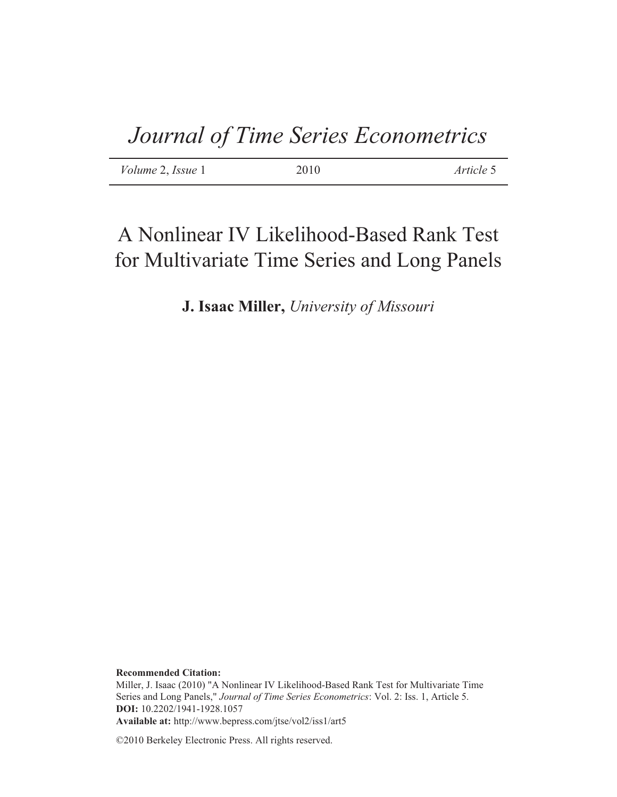# A Nonlinear IV Likelihood-Based Rank Test for Multivariate Time Series and Long Panels

**J. Isaac Miller,** *University of Missouri*

**Recommended Citation:**

Miller, J. Isaac (2010) "A Nonlinear IV Likelihood-Based Rank Test for Multivariate Time Series and Long Panels," *Journal of Time Series Econometrics*: Vol. 2: Iss. 1, Article 5. **DOI:** 10.2202/1941-1928.1057 **Available at:** http://www.bepress.com/jtse/vol2/iss1/art5

©2010 Berkeley Electronic Press. All rights reserved.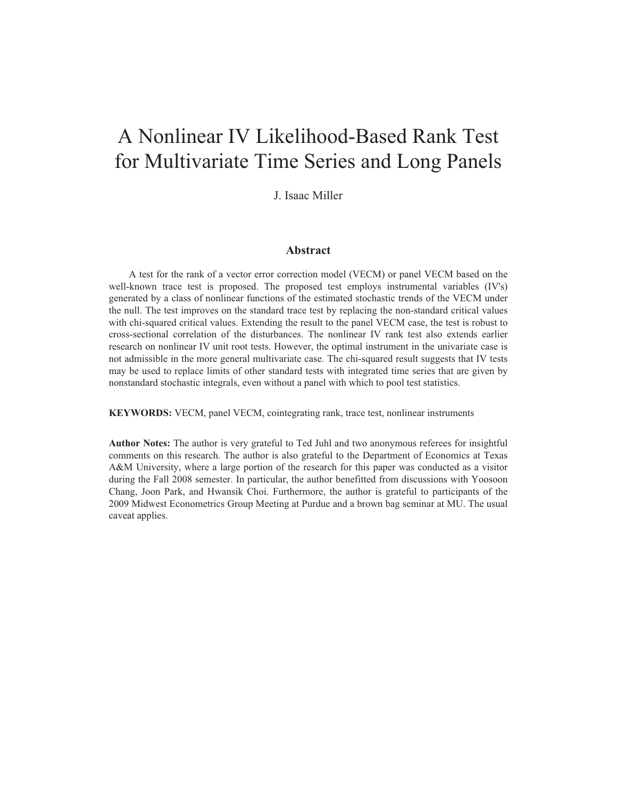# A Nonlinear IV Likelihood-Based Rank Test for Multivariate Time Series and Long Panels

J. Isaac Miller

#### **Abstract**

A test for the rank of a vector error correction model (VECM) or panel VECM based on the well-known trace test is proposed. The proposed test employs instrumental variables (IV's) generated by a class of nonlinear functions of the estimated stochastic trends of the VECM under the null. The test improves on the standard trace test by replacing the non-standard critical values with chi-squared critical values. Extending the result to the panel VECM case, the test is robust to cross-sectional correlation of the disturbances. The nonlinear IV rank test also extends earlier research on nonlinear IV unit root tests. However, the optimal instrument in the univariate case is not admissible in the more general multivariate case. The chi-squared result suggests that IV tests may be used to replace limits of other standard tests with integrated time series that are given by nonstandard stochastic integrals, even without a panel with which to pool test statistics.

**KEYWORDS:** VECM, panel VECM, cointegrating rank, trace test, nonlinear instruments

**Author Notes:** The author is very grateful to Ted Juhl and two anonymous referees for insightful comments on this research. The author is also grateful to the Department of Economics at Texas A&M University, where a large portion of the research for this paper was conducted as a visitor during the Fall 2008 semester. In particular, the author benefitted from discussions with Yoosoon Chang, Joon Park, and Hwansik Choi. Furthermore, the author is grateful to participants of the 2009 Midwest Econometrics Group Meeting at Purdue and a brown bag seminar at MU. The usual caveat applies.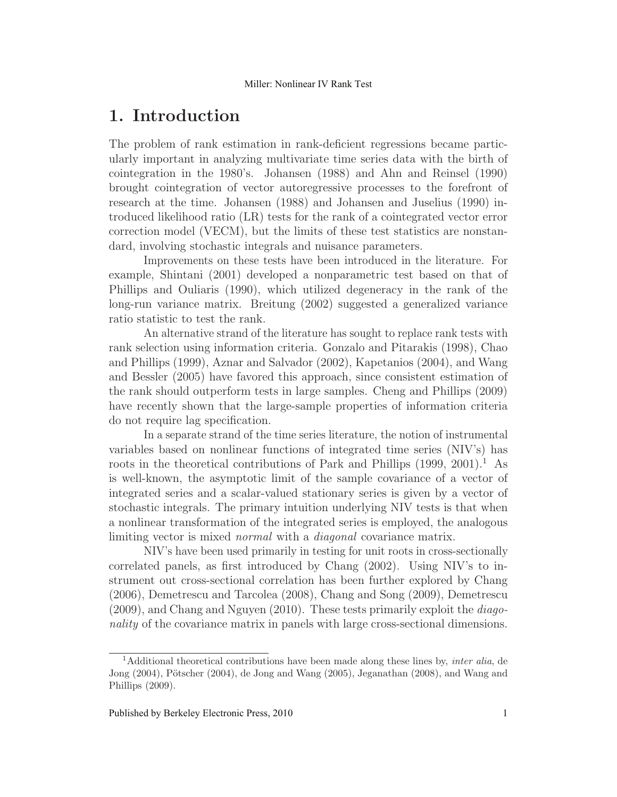# 1. Introduction

The problem of rank estimation in rank-deficient regressions became particularly important in analyzing multivariate time series data with the birth of cointegration in the 1980's. Johansen (1988) and Ahn and Reinsel (1990) brought cointegration of vector autoregressive processes to the forefront of research at the time. Johansen (1988) and Johansen and Juselius (1990) introduced likelihood ratio (LR) tests for the rank of a cointegrated vector error correction model (VECM), but the limits of these test statistics are nonstandard, involving stochastic integrals and nuisance parameters.

Improvements on these tests have been introduced in the literature. For example, Shintani (2001) developed a nonparametric test based on that of Phillips and Ouliaris (1990), which utilized degeneracy in the rank of the long-run variance matrix. Breitung (2002) suggested a generalized variance ratio statistic to test the rank.

An alternative strand of the literature has sought to replace rank tests with rank selection using information criteria. Gonzalo and Pitarakis (1998), Chao and Phillips (1999), Aznar and Salvador (2002), Kapetanios (2004), and Wang and Bessler (2005) have favored this approach, since consistent estimation of the rank should outperform tests in large samples. Cheng and Phillips (2009) have recently shown that the large-sample properties of information criteria do not require lag specification.

In a separate strand of the time series literature, the notion of instrumental variables based on nonlinear functions of integrated time series (NIV's) has roots in the theoretical contributions of Park and Phillips  $(1999, 2001)$ .<sup>1</sup> As is well-known, the asymptotic limit of the sample covariance of a vector of integrated series and a scalar-valued stationary series is given by a vector of stochastic integrals. The primary intuition underlying NIV tests is that when a nonlinear transformation of the integrated series is employed, the analogous limiting vector is mixed *normal* with a *diagonal* covariance matrix.

NIV's have been used primarily in testing for unit roots in cross-sectionally correlated panels, as first introduced by Chang (2002). Using NIV's to instrument out cross-sectional correlation has been further explored by Chang (2006), Demetrescu and Tarcolea (2008), Chang and Song (2009), Demetrescu  $(2009)$ , and Chang and Nguyen  $(2010)$ . These tests primarily exploit the *diago*nality of the covariance matrix in panels with large cross-sectional dimensions.

<sup>&</sup>lt;sup>1</sup>Additional theoretical contributions have been made along these lines by, *inter alia*, de Jong (2004), Pötscher (2004), de Jong and Wang (2005), Jeganathan (2008), and Wang and Phillips (2009).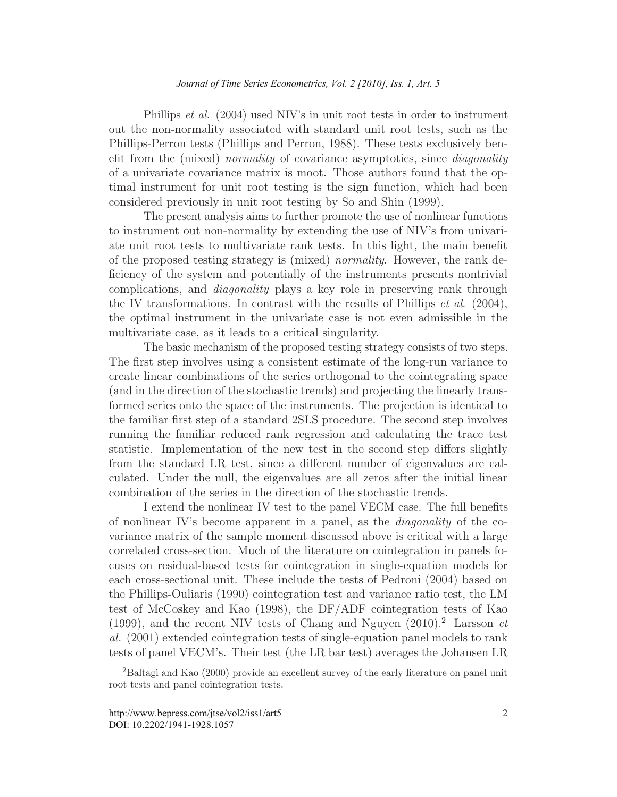#### *Journal of Time Series Econometrics, Vol. 2 [2010], Iss. 1, Art. 5*

out the non-normality associated with standard unit root tests, such as the Phillips-Perron tests (Phillips and Perron, 1988). These tests exclusively benefit from the (mixed) *normality* of covariance asymptotics, since *diagonality* of a univariate covariance matrix is moot. Those authors found that the optimal instrument for unit root testing is the sign function, which had been considered previously in unit root testing by So and Shin (1999). Phillips et al. (2004) used NIV's in unit root tests in order to instrument

The present analysis aims to further promote the use of nonlinear functions to instrument out non-normality by extending the use of NIV's from univariate unit root tests to multivariate rank tests. In this light, the main benefit of the proposed testing strategy is (mixed) normality. However, the rank deficiency of the system and potentially of the instruments presents nontrivial complications, and diagonality plays a key role in preserving rank through the IV transformations. In contrast with the results of Phillips *et al.*  $(2004)$ , the optimal instrument in the univariate case is not even admissible in the multivariate case, as it leads to a critical singularity.

The basic mechanism of the proposed testing strategy consists of two steps. The first step involves using a consistent estimate of the long-run variance to create linear combinations of the series orthogonal to the cointegrating space (and in the direction of the stochastic trends) and projecting the linearly transformed series onto the space of the instruments. The projection is identical to the familiar first step of a standard 2SLS procedure. The second step involves running the familiar reduced rank regression and calculating the trace test statistic. Implementation of the new test in the second step differs slightly from the standard LR test, since a different number of eigenvalues are calculated. Under the null, the eigenvalues are all zeros after the initial linear combination of the series in the direction of the stochastic trends.

I extend the nonlinear IV test to the panel VECM case. The full benefits of nonlinear IV's become apparent in a panel, as the diagonality of the covariance matrix of the sample moment discussed above is critical with a large correlated cross-section. Much of the literature on cointegration in panels focuses on residual-based tests for cointegration in single-equation models for each cross-sectional unit. These include the tests of Pedroni (2004) based on the Phillips-Ouliaris (1990) cointegration test and variance ratio test, the LM test of McCoskey and Kao (1998), the DF/ADF cointegration tests of Kao (1999), and the recent NIV tests of Chang and Nguyen (2010).<sup>2</sup> Larsson  $et$ al. (2001) extended cointegration tests of single-equation panel models to rank tests of panel VECM's. Their test (the LR bar test) averages the Johansen LR

<sup>2</sup>Baltagi and Kao (2000) provide an excellent survey of the early literature on panel unit root tests and panel cointegration tests.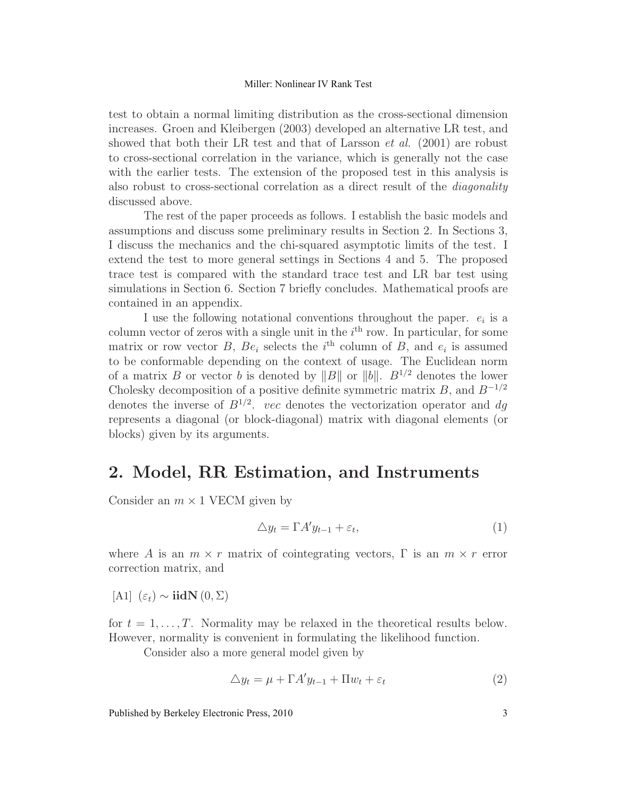test to obtain a normal limiting distribution as the cross-sectional dimension increases. Groen and Kleibergen (2003) developed an alternative LR test, and showed that both their LR test and that of Larsson  $et \ al.$  (2001) are robust to cross-sectional correlation in the variance, which is generally not the case with the earlier tests. The extension of the proposed test in this analysis is also robust to cross-sectional correlation as a direct result of the *diagonality* discussed above.

The rest of the paper proceeds as follows. I establish the basic models and assumptions and discuss some preliminary results in Section 2. In Sections 3, I discuss the mechanics and the chi-squared asymptotic limits of the test. I extend the test to more general settings in Sections 4 and 5. The proposed trace test is compared with the standard trace test and LR bar test using simulations in Section 6. Section 7 briefly concludes. Mathematical proofs are contained in an appendix.

I use the following notational conventions throughout the paper.  $e_i$  is a column vector of zeros with a single unit in the  $i<sup>th</sup>$  row. In particular, for some matrix or row vector B,  $Be_i$  selects the  $i<sup>th</sup>$  column of B, and  $e_i$  is assumed to be conformable depending on the context of usage. The Euclidean norm of a matrix B or vector b is denoted by  $||B||$  or  $||b||$ .  $B^{1/2}$  denotes the lower Cholesky decomposition of a positive definite symmetric matrix B, and  $B^{-1/2}$ denotes the inverse of  $B^{1/2}$ . vec denotes the vectorization operator and dg represents a diagonal (or block-diagonal) matrix with diagonal elements (or blocks) given by its arguments.

# 2. Model, RR Estimation, and Instruments

Consider an  $m \times 1$  VECM given by

$$
\triangle y_t = \Gamma A' y_{t-1} + \varepsilon_t, \tag{1}
$$

where A is an  $m \times r$  matrix of cointegrating vectors,  $\Gamma$  is an  $m \times r$  error correction matrix, and

[A1]  $(\varepsilon_t) \sim \textbf{iidN}(0, \Sigma)$ 

for  $t = 1, \ldots, T$ . Normality may be relaxed in the theoretical results below. However, normality is convenient in formulating the likelihood function.

Consider also a more general model given by

$$
\Delta y_t = \mu + \Gamma A' y_{t-1} + \Pi w_t + \varepsilon_t \tag{2}
$$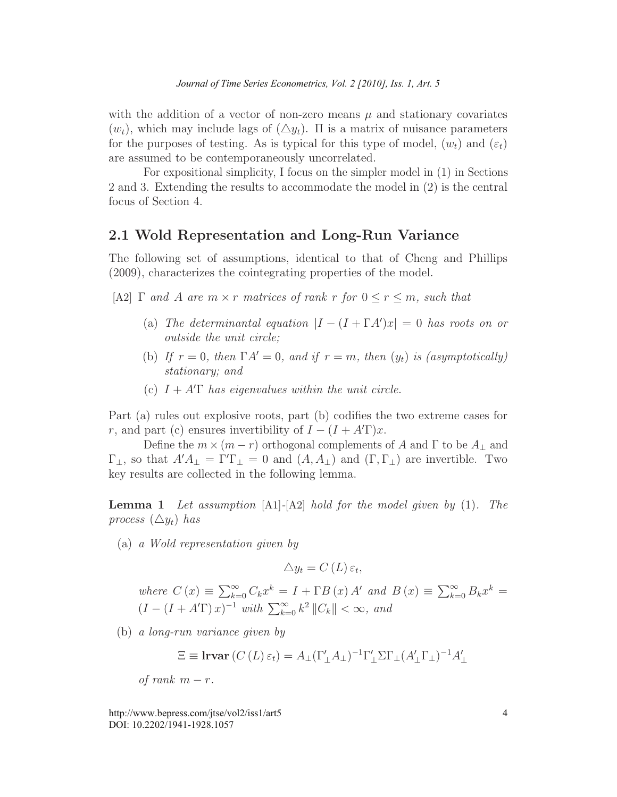with the addition of a vector of non-zero means  $\mu$  and stationary covariates  $(w_t)$ , which may include lags of  $(\Delta y_t)$ .  $\Pi$  is a matrix of nuisance parameters for the purposes of testing. As is typical for this type of model,  $(w_t)$  and  $(\varepsilon_t)$ are assumed to be contemporaneously uncorrelated.

For expositional simplicity, I focus on the simpler model in (1) in Sections 2 and 3. Extending the results to accommodate the model in (2) is the central focus of Section 4.

### 2.1 Wold Representation and Long-Run Variance

The following set of assumptions, identical to that of Cheng and Phillips (2009), characterizes the cointegrating properties of the model.

[A2]  $\Gamma$  and A are  $m \times r$  matrices of rank r for  $0 \le r \le m$ , such that

- (a) The determinantal equation  $|I (I + \Gamma A')x| = 0$  has roots on or outside the unit circle;
- (b) If  $r = 0$ , then  $\Gamma A' = 0$ , and if  $r = m$ , then  $(y_t)$  is (asymptotically) stationary; and
- (c)  $I + A^{\prime}\Gamma$  has eigenvalues within the unit circle.

Part (a) rules out explosive roots, part (b) codifies the two extreme cases for r, and part (c) ensures invertibility of  $I - (I + A<sup>T</sup>)x$ .

Define the  $m \times (m - r)$  orthogonal complements of A and  $\Gamma$  to be  $A_{\perp}$  and  $\Gamma_{\perp}$ , so that  $A'A_{\perp} = \Gamma'\Gamma_{\perp} = 0$  and  $(A, A_{\perp})$  and  $(\Gamma, \Gamma_{\perp})$  are invertible. Two key results are collected in the following lemma.

**Lemma 1** Let assumption  $[A1]-[A2]$  hold for the model given by  $(1)$ . The process  $(\triangle y_t)$  has

(a) a Wold representation given by

$$
\Delta y_t = C(L) \, \varepsilon_t,
$$

where  $C(x) \equiv \sum_{k=0}^{\infty} C_k x^k = I + \Gamma B(x) A'$  and  $B(x) \equiv \sum_{k=0}^{\infty} B_k x^k =$  $(I - (I + A')x)^{-1}$  with  $\sum_{k=0}^{\infty} k^2 ||C_k|| < \infty$ , and

(b) a long-run variance given by

$$
\Xi \equiv \mathbf{Irvar}\left(C\left(L\right)\varepsilon_t\right) = A_\perp (\Gamma'_\perp A_\perp)^{-1} \Gamma'_\perp \Sigma \Gamma_\perp (A'_\perp \Gamma_\perp)^{-1} A'_\perp
$$

of rank  $m - r$ .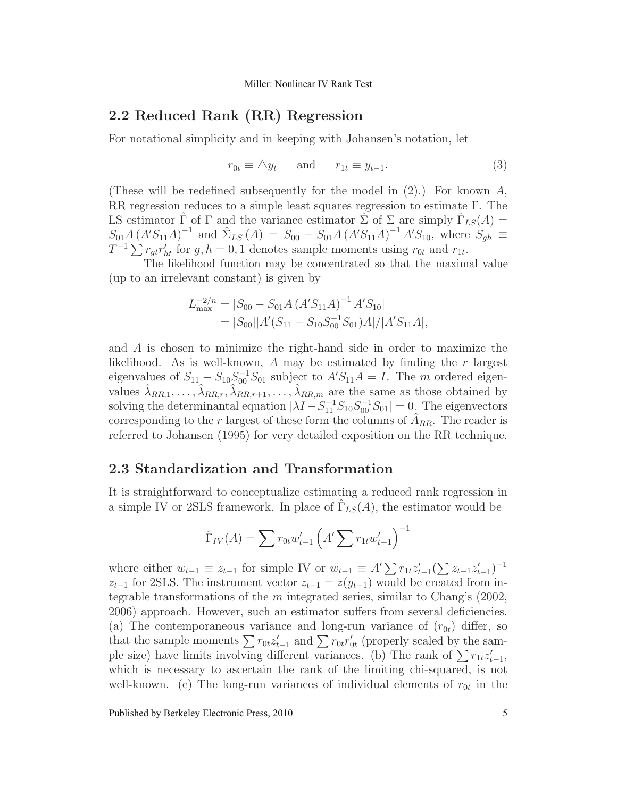### 2.2 Reduced Rank (RR) Regression

For notational simplicity and in keeping with Johansen's notation, let

$$
r_{0t} \equiv \triangle y_t \quad \text{and} \quad r_{1t} \equiv y_{t-1}.\tag{3}
$$

(These will be redefined subsequently for the model in  $(2)$ .) For known A, RR regression reduces to a simple least squares regression to estimate Γ. The LS estimator  $\hat{\Gamma}$  of  $\Gamma$  and the variance estimator  $\hat{\Sigma}$  of  $\Sigma$  are simply  $\hat{\Gamma}_{LS}(A)$  =  $S_{01}A(A'S_{11}A)^{-1}$  and  $\hat{\Sigma}_{LS}(A) = S_{00} - S_{01}A(A'S_{11}A)^{-1}A'S_{10}$ , where  $S_{gh} \equiv$  $T^{-1} \sum r_{gt} r'_{ht}$  for  $g, h = 0, 1$  denotes sample moments using  $r_{0t}$  and  $r_{1t}$ .

The likelihood function may be concentrated so that the maximal value (up to an irrelevant constant) is given by

$$
L_{\text{max}}^{-2/n} = |S_{00} - S_{01}A(A'S_{11}A)^{-1}A'S_{10}|
$$
  
=  $|S_{00}||A'(S_{11} - S_{10}S_{00}^{-1}S_{01})A|/|A'S_{11}A|,$ 

and A is chosen to minimize the right-hand side in order to maximize the likelihood. As is well-known, A may be estimated by finding the r largest eigenvalues of  $S_{11} - S_{10} S_{00}^{-1} S_{01}$  subject to  $A'S_{11} A = I$ . The m ordered eigenvalues  $\hat{\lambda}_{RR,1},\ldots,\hat{\lambda}_{RR,r},\hat{\lambda}_{RR,r+1},\ldots,\hat{\lambda}_{RR,m}$  are the same as those obtained by solving the determinantal equation  $|\lambda I - S_{11}^{-1} S_{10} S_{00}^{-1} S_{01}| = 0$ . The eigenvectors corresponding to the r largest of these form the columns of  $\hat{A}_{RR}$ . The reader is referred to Johansen (1995) for very detailed exposition on the RR technique.

### 2.3 Standardization and Transformation

It is straightforward to conceptualize estimating a reduced rank regression in a simple IV or 2SLS framework. In place of  $\hat{\Gamma}_{LS}(A)$ , the estimator would be

$$
\hat{\Gamma}_{IV}(A) = \sum r_{0t} w'_{t-1} \left( A' \sum r_{1t} w'_{t-1} \right)^{-1}
$$

where either  $w_{t-1} \equiv z_{t-1}$  for simple IV or  $w_{t-1} \equiv A' \sum r_{1t} z'_{t-1} (\sum z_{t-1} z'_{t-1})^{-1}$  $z_{t-1}$  for 2SLS. The instrument vector  $z_{t-1} = z(y_{t-1})$  would be created from integrable transformations of the  $m$  integrated series, similar to Chang's (2002, 2006) approach. However, such an estimator suffers from several deficiencies. (a) The contemporaneous variance and long-run variance of  $(r_{0t})$  differ, so that the sample moments  $\sum r_{0t}z'_{t-1}$  and  $\sum r_{0t}r'_{0t}$  (properly scaled by the sample size) have limits involving different variances. (b) The rank of  $\sum r_{1t}z'_{t-1}$ , which is necessary to ascertain the rank of the limiting chi-squared, is not well-known. (c) The long-run variances of individual elements of  $r_{0t}$  in the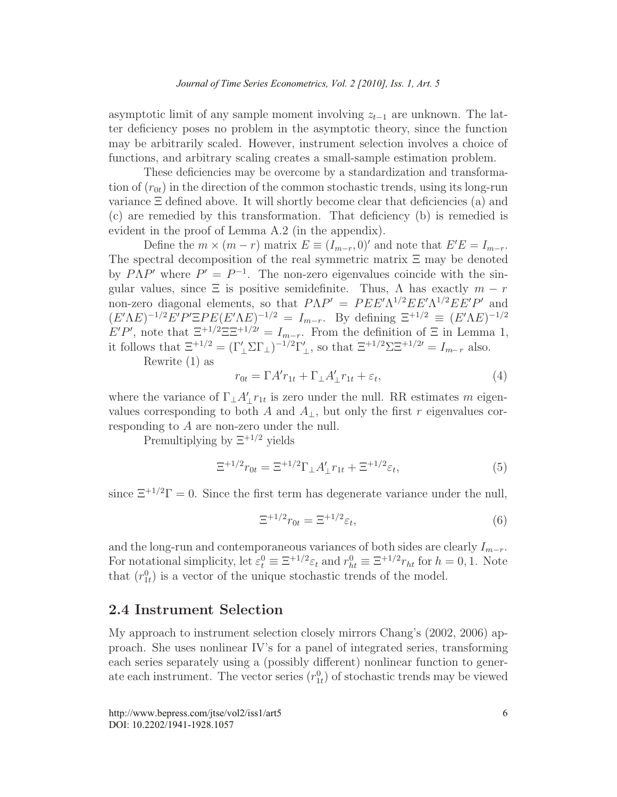asymptotic limit of any sample moment involving  $z_{t-1}$  are unknown. The latter deficiency poses no problem in the asymptotic theory, since the function may be arbitrarily scaled. However, instrument selection involves a choice of functions, and arbitrary scaling creates a small-sample estimation problem.

These deficiencies may be overcome by a standardization and transformation of  $(r_{0t})$  in the direction of the common stochastic trends, using its long-run variance Ξ defined above. It will shortly become clear that deficiencies (a) and (c) are remedied by this transformation. That deficiency (b) is remedied is evident in the proof of Lemma A.2 (in the appendix).

Define the  $m \times (m - r)$  matrix  $E \equiv (I_{m-r}, 0)'$  and note that  $E'E = I_{m-r}$ . The spectral decomposition of the real symmetric matrix  $\Xi$  may be denoted by  $P\Lambda P'$  where  $P' = P^{-1}$ . The non-zero eigenvalues coincide with the singular values, since  $\Xi$  is positive semidefinite. Thus,  $\Lambda$  has exactly  $m - r$ non-zero diagonal elements, so that  $P\Lambda P' = P E E' \Lambda^{1/2} E E' \Lambda^{1/2} E E' P'$  and  $(E'\Lambda E)^{-1/2}E'P'EPE(E'\Lambda E)^{-1/2} = I_{m-r}$ . By defining  $E^{+1/2} \equiv (E'\Lambda E)^{-1/2}$  $E'P'$ , note that  $\Xi^{+1/2}\Xi\Xi^{+1/2} = I_{m-r}$ . From the definition of  $\Xi$  in Lemma 1, it follows that  $\Xi^{+1/2} = (\Gamma'_\perp \Sigma \Gamma_\perp)^{-1/2} \Gamma'_\perp$ , so that  $\Xi^{+1/2} \Sigma \Xi^{+1/2'} = I_{m-r}$  also.

Rewrite (1) as

$$
r_{0t} = \Gamma A' r_{1t} + \Gamma_{\perp} A'_{\perp} r_{1t} + \varepsilon_t, \tag{4}
$$

where the variance of  $\Gamma_{\perp} A'_{\perp} r_{1t}$  is zero under the null. RR estimates m eigenvalues corresponding to both A and  $A_{\perp}$ , but only the first r eigenvalues corresponding to A are non-zero under the null.

Premultiplying by  $\Xi^{+1/2}$  yields

$$
\Xi^{+1/2}r_{0t} = \Xi^{+1/2}\Gamma_{\perp}A'_{\perp}r_{1t} + \Xi^{+1/2}\varepsilon_t,\tag{5}
$$

since  $\Xi^{+1/2}\Gamma = 0$ . Since the first term has degenerate variance under the null,

$$
\Xi^{+1/2} r_{0t} = \Xi^{+1/2} \varepsilon_t,\tag{6}
$$

and the long-run and contemporaneous variances of both sides are clearly  $I_{m-r}$ . For notational simplicity, let  $\varepsilon_t^0 \equiv \Xi^{+1/2} \varepsilon_t$  and  $r_{ht}^0 \equiv \Xi^{+1/2} r_{ht}$  for  $h = 0, 1$ . Note that  $(r_{1t}^0)$  is a vector of the unique stochastic trends of the model.

### 2.4 Instrument Selection

My approach to instrument selection closely mirrors Chang's (2002, 2006) approach. She uses nonlinear IV's for a panel of integrated series, transforming each series separately using a (possibly different) nonlinear function to generate each instrument. The vector series  $(r_{1t}^0)$  of stochastic trends may be viewed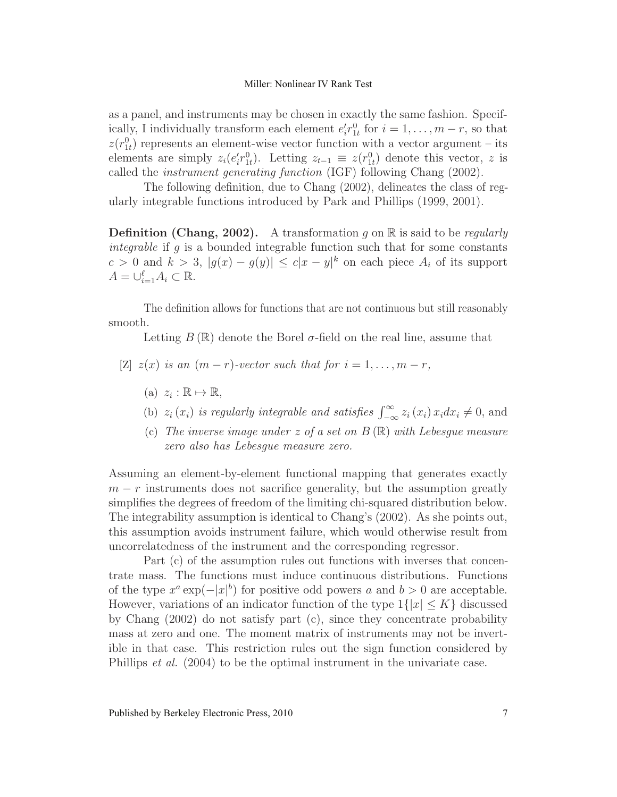as a panel, and instruments may be chosen in exactly the same fashion. Specifically, I individually transform each element  $e'_i r_{1t}^0$  for  $i = 1, \ldots, m-r$ , so that  $z(r_{1t}^0)$  represents an element-wise vector function with a vector argument – its elements are simply  $z_i(e'_i r_{1t}^0)$ . Letting  $z_{t-1} \equiv z(r_{1t}^0)$  denote this vector, z is called the instrument generating function (IGF) following Chang (2002).

The following definition, due to Chang (2002), delineates the class of regularly integrable functions introduced by Park and Phillips (1999, 2001).

**Definition (Chang, 2002).** A transformation q on R is said to be regularly integrable if g is a bounded integrable function such that for some constants  $c > 0$  and  $k > 3$ ,  $|g(x) - g(y)| \le c|x - y|^k$  on each piece  $A_i$  of its support  $A=\cup_{i=1}^{\ell}A_i\subset\mathbb{R}.$ 

The definition allows for functions that are not continuous but still reasonably smooth.

Letting  $B(\mathbb{R})$  denote the Borel  $\sigma$ -field on the real line, assume that

- [Z]  $z(x)$  is an  $(m r)$ -vector such that for  $i = 1, \ldots, m r$ ,
	- (a)  $z_i : \mathbb{R} \mapsto \mathbb{R}$ ,
	- (b)  $z_i(x_i)$  is regularly integrable and satisfies  $\int_{-\infty}^{\infty} z_i(x_i) x_i dx_i \neq 0$ , and
	- (c) The inverse image under z of a set on  $B(\mathbb{R})$  with Lebesgue measure zero also has Lebesgue measure zero.

Assuming an element-by-element functional mapping that generates exactly  $m - r$  instruments does not sacrifice generality, but the assumption greatly simplifies the degrees of freedom of the limiting chi-squared distribution below. The integrability assumption is identical to Chang's (2002). As she points out, this assumption avoids instrument failure, which would otherwise result from uncorrelatedness of the instrument and the corresponding regressor.

Part (c) of the assumption rules out functions with inverses that concentrate mass. The functions must induce continuous distributions. Functions of the type  $x^a \exp(-|x|^b)$  for positive odd powers a and  $b > 0$  are acceptable. However, variations of an indicator function of the type  $1\{|x| \leq K\}$  discussed by Chang (2002) do not satisfy part (c), since they concentrate probability mass at zero and one. The moment matrix of instruments may not be invertible in that case. This restriction rules out the sign function considered by Phillips *et al.* (2004) to be the optimal instrument in the univariate case.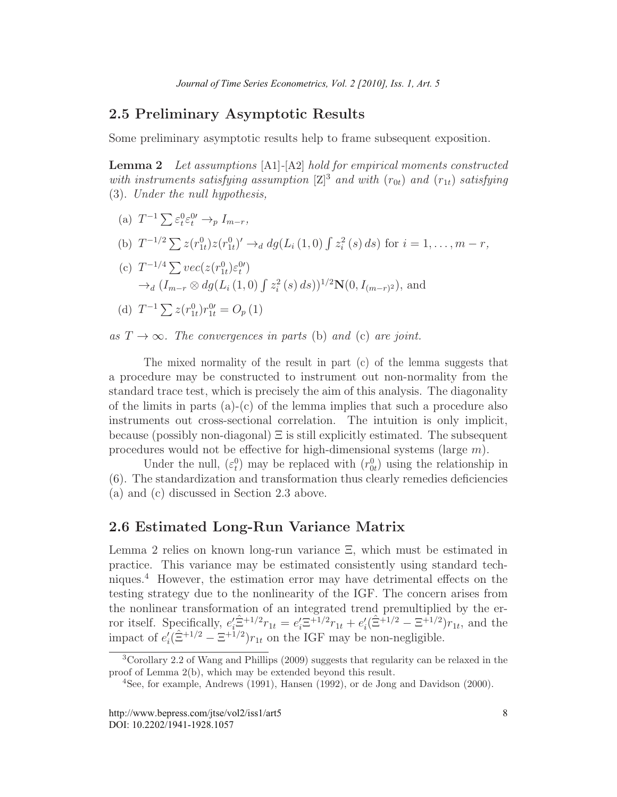### 2.5 Preliminary Asymptotic Results

Some preliminary asymptotic results help to frame subsequent exposition.

**Lemma 2** Let assumptions  $[A1]-[A2]$  hold for empirical moments constructed with instruments satisfying assumption  $Z^3$  and with  $(r_{0t})$  and  $(r_{1t})$  satisfying (3). Under the null hypothesis,

- (a)  $T^{-1} \sum \varepsilon_t^0 \varepsilon_t^0 \rightarrow_p I_{m-r},$
- (b)  $T^{-1/2} \sum z(r_{1t}^0) z(r_{1t}^0)' \rightarrow_d dg(L_i(1,0) \int z_i^2(s) ds)$  for  $i = 1, ..., m-r$ ,
- (c)  $T^{-1/4} \sum vec(z(r_{1t}^0) \varepsilon_t^{0\prime})$  $\rightarrow_d (I_{m-r} \otimes dg(L_i(1,0) \int z_i^2(s) ds))^{1/2} N(0, I_{(m-r)^2}),$  and

(d) 
$$
T^{-1} \sum z(r_{1t}^0) r_{1t}^{0t} = O_p(1)
$$

as  $T \to \infty$ . The convergences in parts (b) and (c) are joint.

The mixed normality of the result in part (c) of the lemma suggests that a procedure may be constructed to instrument out non-normality from the standard trace test, which is precisely the aim of this analysis. The diagonality of the limits in parts  $(a)-(c)$  of the lemma implies that such a procedure also instruments out cross-sectional correlation. The intuition is only implicit, because (possibly non-diagonal) Ξ is still explicitly estimated. The subsequent procedures would not be effective for high-dimensional systems (large  $m$ ).

Under the null,  $(\varepsilon_t^0)$  may be replaced with  $(r_{0t}^0)$  using the relationship in (6). The standardization and transformation thus clearly remedies deficiencies (a) and (c) discussed in Section 2.3 above.

### 2.6 Estimated Long-Run Variance Matrix

Lemma 2 relies on known long-run variance  $\Xi$ , which must be estimated in practice. This variance may be estimated consistently using standard techniques.<sup>4</sup> However, the estimation error may have detrimental effects on the testing strategy due to the nonlinearity of the IGF. The concern arises from the nonlinear transformation of an integrated trend premultiplied by the error itself. Specifically,  $e_i' \hat{\Xi}^{+1/2} r_{1t} = e_i' \Xi^{+1/2} r_{1t} + e_i' (\hat{\Xi}^{+1/2} - \Xi^{+1/2}) r_{1t}$ , and the impact of  $e'_{i}(\hat{\Xi}^{+1/2} - \Xi^{+1/2})r_{1t}$  on the IGF may be non-negligible.

<sup>3</sup>Corollary 2.2 of Wang and Phillips (2009) suggests that regularity can be relaxed in the proof of Lemma 2(b), which may be extended beyond this result.

<sup>4</sup>See, for example, Andrews (1991), Hansen (1992), or de Jong and Davidson (2000).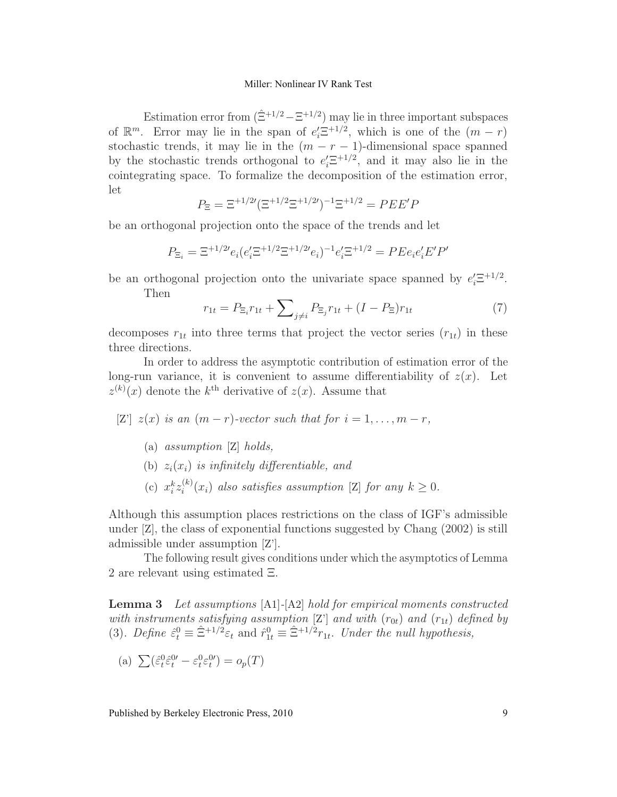Estimation error from  $(\hat{\Xi}^{+1/2} - \Xi^{+1/2})$  may lie in three important subspaces of  $\mathbb{R}^m$ . Error may lie in the span of  $e_i^{\prime} \Xi^{+1/2}$ , which is one of the  $(m - r)$ stochastic trends, it may lie in the  $(m - r - 1)$ -dimensional space spanned by the stochastic trends orthogonal to  $e_i^{\prime} \Xi^{+1/2}$ , and it may also lie in the cointegrating space. To formalize the decomposition of the estimation error, let

$$
P_{\Xi} = \Xi^{+1/2\prime} (\Xi^{+1/2} \Xi^{+1/2\prime})^{-1} \Xi^{+1/2} = P E E' P
$$

be an orthogonal projection onto the space of the trends and let

$$
P_{\Xi_i} = \Xi^{+1/2i} e_i (e_i' \Xi^{+1/2} \Xi^{+1/2i} e_i)^{-1} e_i' \Xi^{+1/2} = P E e_i e_i' E' P'
$$

be an orthogonal projection onto the univariate space spanned by  $e_i^{\prime} \Xi^{+1/2}$ .

Then

$$
r_{1t} = P_{\Xi_i} r_{1t} + \sum_{j \neq i} P_{\Xi_j} r_{1t} + (I - P_{\Xi}) r_{1t}
$$
 (7)

decomposes  $r_{1t}$  into three terms that project the vector series  $(r_{1t})$  in these three directions.

In order to address the asymptotic contribution of estimation error of the long-run variance, it is convenient to assume differentiability of  $z(x)$ . Let  $z^{(k)}(x)$  denote the  $k^{\text{th}}$  derivative of  $z(x)$ . Assume that

- [Z']  $z(x)$  is an  $(m r)$ -vector such that for  $i = 1, \ldots, m r$ ,
	- (a) assumption [Z] holds,
	- (b)  $z_i(x_i)$  is infinitely differentiable, and
	- (c)  $x_i^k z_i^{(k)}$  $i^{(k)}(x_i)$  also satisfies assumption [Z] for any  $k \geq 0$ .

Although this assumption places restrictions on the class of IGF's admissible under [Z], the class of exponential functions suggested by Chang (2002) is still admissible under assumption [Z'].

The following result gives conditions under which the asymptotics of Lemma 2 are relevant using estimated Ξ.

Lemma 3 Let assumptions [A1]-[A2] hold for empirical moments constructed with instruments satisfying assumption [Z'] and with  $(r_{0t})$  and  $(r_{1t})$  defined by (3). Define  $\hat{\epsilon}_t^0 \equiv \hat{\Xi}^{+1/2} \epsilon_t$  and  $\hat{r}_{1t}^0 \equiv \hat{\Xi}^{+1/2} r_{1t}$ . Under the null hypothesis,

(a) 
$$
\sum (\hat{\varepsilon}_t^0 \hat{\varepsilon}_t^0 - \varepsilon_t^0 \hat{\varepsilon}_t^0) = o_p(T)
$$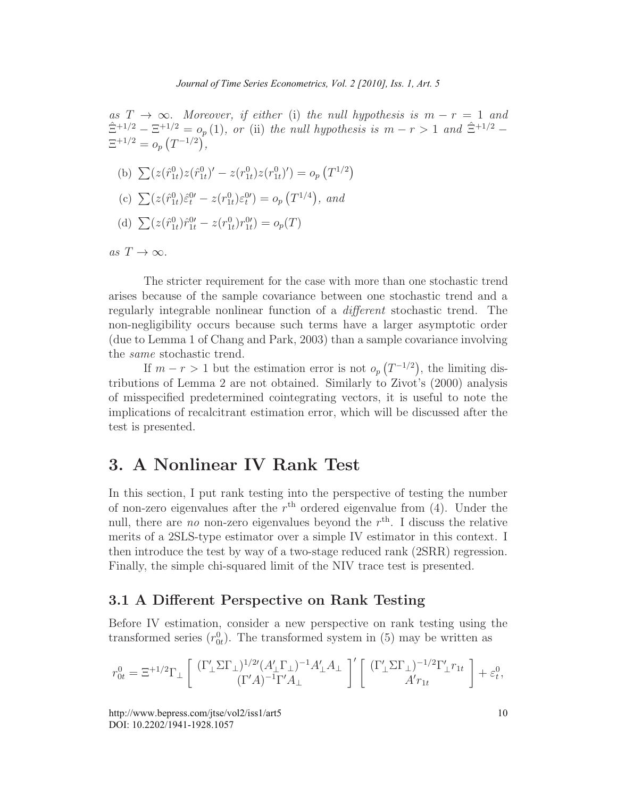as  $T \to \infty$ . Moreover, if either (i) the null hypothesis is  $m - r = 1$  and  $\hat{\Xi}^{+1/2} - \Xi^{+1/2} = o_p(1)$ , or (ii) the null hypothesis is  $m - r > 1$  and  $\hat{\Xi}^{+1/2} \Xi^{+1/2} = o_p(T^{-1/2}),$ 

(b) 
$$
\sum (z(\hat{r}_{1t}^0)z(\hat{r}_{1t}^0)' - z(r_{1t}^0)z(r_{1t}^0)') = o_p(T^{1/2})
$$

(c) 
$$
\sum (z(\hat{r}_{1t}^0)\hat{\epsilon}_t^{0\prime} - z(r_{1t}^0)\hat{\epsilon}_t^{0\prime}) = o_p(T^{1/4}), \text{ and}
$$

(d)  $\sum (z(\hat{r}_{1t}^0)\hat{r}_{1t}^{0\prime} - z(r_{1t}^0)r_{1t}^{0\prime}) = o_p(T)$ 

as  $T \to \infty$ .

The stricter requirement for the case with more than one stochastic trend arises because of the sample covariance between one stochastic trend and a regularly integrable nonlinear function of a different stochastic trend. The non-negligibility occurs because such terms have a larger asymptotic order (due to Lemma 1 of Chang and Park, 2003) than a sample covariance involving the same stochastic trend.

If  $m - r > 1$  but the estimation error is not  $o_p(T^{-1/2})$ , the limiting distributions of Lemma 2 are not obtained. Similarly to Zivot's (2000) analysis of misspecified predetermined cointegrating vectors, it is useful to note the implications of recalcitrant estimation error, which will be discussed after the test is presented.

# 3. A Nonlinear IV Rank Test

In this section, I put rank testing into the perspective of testing the number of non-zero eigenvalues after the  $r<sup>th</sup>$  ordered eigenvalue from (4). Under the null, there are *no* non-zero eigenvalues beyond the  $r<sup>th</sup>$ . I discuss the relative merits of a 2SLS-type estimator over a simple IV estimator in this context. I then introduce the test by way of a two-stage reduced rank (2SRR) regression. Finally, the simple chi-squared limit of the NIV trace test is presented.

### 3.1 A Different Perspective on Rank Testing

Before IV estimation, consider a new perspective on rank testing using the transformed series  $(r_{0t}^0)$ . The transformed system in (5) may be written as

$$
r_{0t}^0 = \Xi^{+1/2}\Gamma_\perp \left[ \begin{array}{cc} (\Gamma'_\perp \Sigma \Gamma_\perp)^{1/2\prime} (A'_\perp \Gamma_\perp)^{-1} A'_\perp A_\perp \\ (\Gamma' A)^{-1} \Gamma' A_\perp \end{array} \right]' \left[ \begin{array}{c} (\Gamma'_\perp \Sigma \Gamma_\perp)^{-1/2} \Gamma'_\perp r_{1t} \\ A' r_{1t} \end{array} \right] + \varepsilon_t^0,
$$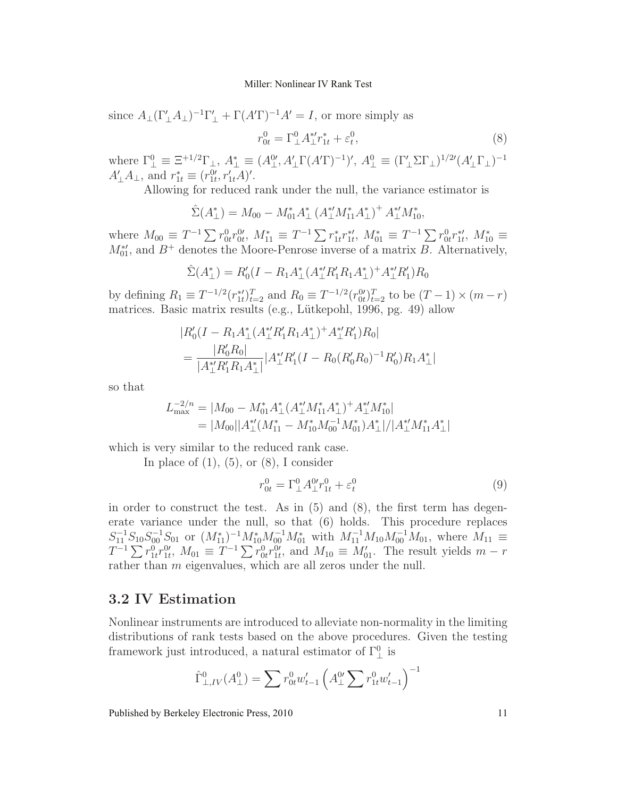since  $A_{\perp}(\Gamma'_{\perp}A_{\perp})^{-1}\Gamma'_{\perp} + \Gamma(A'\Gamma)^{-1}A' = I$ , or more simply as

$$
r_{0t}^{0} = \Gamma_{\perp}^{0} A_{\perp}^{*\prime} r_{1t}^{*} + \varepsilon_{t}^{0}, \tag{8}
$$

where  $\Gamma_{\perp}^0 \equiv \Xi^{+1/2} \Gamma_{\perp}$ ,  $A_{\perp}^* \equiv (A_{\perp}^{0\prime}, A_{\perp}' \Gamma (A\Gamma)^{-1})^{\prime}$ ,  $A_{\perp}^0 \equiv (\Gamma_{\perp}' \Sigma \Gamma_{\perp})^{1/2\prime} (A_{\perp}' \Gamma_{\perp})^{-1}$  $A'_{\perp}A_{\perp}$ , and  $r_{1t}^* \equiv (r_{1t}^{0\prime}, r_{1t}^{\prime}A)^{\prime}$ .

Allowing for reduced rank under the null, the variance estimator is

$$
\hat{\Sigma}(A^*_{\perp}) = M_{00} - M_{01}^* A^*_{\perp} (A^*_{\perp} M_{11}^* A^*_{\perp})^+ A^*_{\perp} M_{10}^*,
$$

where  $M_{00} \equiv T^{-1} \sum r_{0t}^0 r_{0t}^{0t}$ ,  $M_{11}^* \equiv T^{-1} \sum r_{1t}^* r_{1t}^{*\prime}$ ,  $M_{01}^* \equiv T^{-1} \sum r_{0t}^0 r_{1t}^{*\prime}$ ,  $M_{10}^* \equiv$  $M_{01}^{*}$ , and  $B^+$  denotes the Moore-Penrose inverse of a matrix B. Alternatively,

$$
\hat{\Sigma}(A^*_{\perp}) = R'_0(I - R_1 A^*_{\perp} (A^*_{\perp} R'_1 R_1 A^*_{\perp})^+ A^*_{\perp} R'_1) R_0
$$

by defining  $R_1 \equiv T^{-1/2} (r_{1t}^{*})_{t=2}^T$  and  $R_0 \equiv T^{-1/2} (r_{0t}^{0})_{t=2}^T$  to be  $(T-1) \times (m-r)$ matrices. Basic matrix results (e.g., Lütkepohl, 1996, pg. 49) allow

$$
|R'_0(I - R_1A^*_{\perp}(A^*_{\perp}R'_1R_1A^*_{\perp})^+A^*_{\perp}R'_1)R_0|
$$
  
= 
$$
\frac{|R'_0R_0|}{|A^*_{\perp}R'_1R_1A^*_{\perp}|}|A^*_{\perp}R'_1(I - R_0(R'_0R_0)^{-1}R'_0)R_1A^*_{\perp}|
$$

so that

$$
L_{\text{max}}^{-2/n} = |M_{00} - M_{01}^* A_{\perp}^* (A_{\perp}^{*'} M_{11}^* A_{\perp}^*)^+ A_{\perp}^{*'} M_{10}^*|
$$
  
= |M\_{00}||A\_{\perp}^{\*'} (M\_{11}^\* - M\_{10}^\* M\_{00}^{-1} M\_{01}^\*) A\_{\perp}^\* | / |A\_{\perp}^{\*'} M\_{11}^\* A\_{\perp}^\*|

which is very similar to the reduced rank case.

In place of  $(1)$ ,  $(5)$ , or  $(8)$ , I consider

$$
r_{0t}^0 = \Gamma_\perp^0 A_\perp^0 r_{1t}^0 + \varepsilon_t^0 \tag{9}
$$

in order to construct the test. As in  $(5)$  and  $(8)$ , the first term has degenerate variance under the null, so that (6) holds. This procedure replaces  $S_{11}^{-1}S_{10}S_{00}^{-1}S_{01}$  or  $(M_{11}^*)^{-1}M_{10}^*M_{00}^{-1}M_{01}^*$  with  $M_{11}^{-1}M_{10}M_{00}^{-1}M_{01}$ , where  $M_{11} \equiv$  $T^{-1} \sum r_{1t}^0 r_{1t}^0$ ,  $M_{01} \equiv T^{-1} \sum r_{0t}^0 r_{1t}^0$ , and  $M_{10} \equiv M'_{01}$ . The result yields  $m-r$ rather than m eigenvalues, which are all zeros under the null.

#### 3.2 IV Estimation

Nonlinear instruments are introduced to alleviate non-normality in the limiting distributions of rank tests based on the above procedures. Given the testing framework just introduced, a natural estimator of  $\Gamma^0_{\perp}$  is

$$
\hat{\Gamma}^0_{\perp,IV}(A^0_\perp) = \sum r^0_{0t} w'_{t-1} \left( A^0_\perp \sum r^0_{1t} w'_{t-1} \right)^{-1}
$$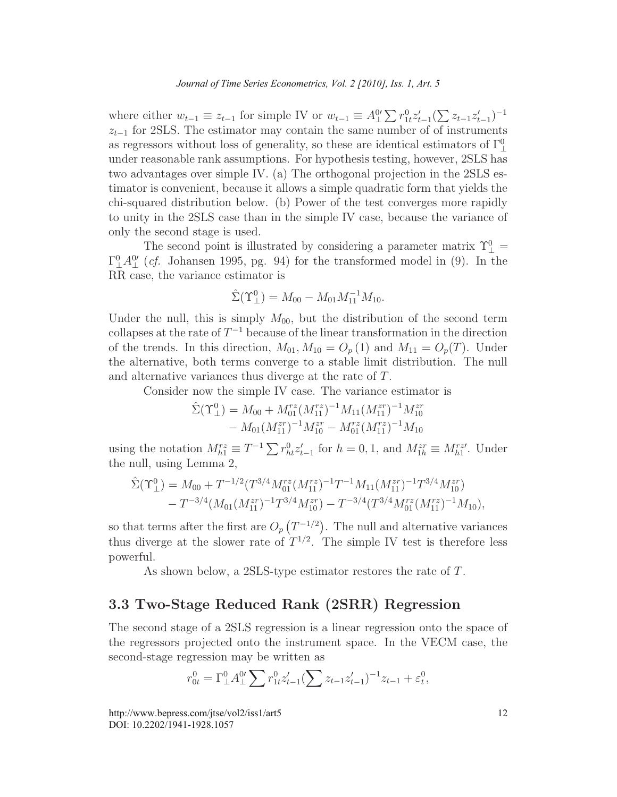where either  $w_{t-1} \equiv z_{t-1}$  for simple IV or  $w_{t-1} \equiv A_{\perp}^{0} \sum r_{1t}^{0} z_{t-1}^{t} (\sum z_{t-1} z_{t-1}^{t})^{-1}$  $z_{t-1}$  for 2SLS. The estimator may contain the same number of of instruments as regressors without loss of generality, so these are identical estimators of  $\Gamma_\perp^0$ under reasonable rank assumptions. For hypothesis testing, however, 2SLS has two advantages over simple IV. (a) The orthogonal projection in the 2SLS estimator is convenient, because it allows a simple quadratic form that yields the chi-squared distribution below. (b) Power of the test converges more rapidly to unity in the 2SLS case than in the simple IV case, because the variance of only the second stage is used.

The second point is illustrated by considering a parameter matrix  $\Upsilon_{\perp}^0$  =  $\Gamma_{\perp}^{0}A_{\perp}^{0}$  (*cf.* Johansen 1995, pg. 94) for the transformed model in (9). In the RR case, the variance estimator is

$$
\hat{\Sigma}(\Upsilon_{\perp}^{0}) = M_{00} - M_{01}M_{11}^{-1}M_{10}.
$$

Under the null, this is simply  $M_{00}$ , but the distribution of the second term collapses at the rate of  $T^{-1}$  because of the linear transformation in the direction of the trends. In this direction,  $M_{01}$ ,  $M_{10} = O_p(1)$  and  $M_{11} = O_p(T)$ . Under the alternative, both terms converge to a stable limit distribution. The null and alternative variances thus diverge at the rate of T.

Consider now the simple IV case. The variance estimator is

$$
\hat{\Sigma}(\Upsilon_{\perp}^{0}) = M_{00} + M_{01}^{rz} (M_{11}^{rz})^{-1} M_{11} (M_{11}^{zr})^{-1} M_{10}^{zr} \n- M_{01} (M_{11}^{zr})^{-1} M_{10}^{zr} - M_{01}^{rz} (M_{11}^{rz})^{-1} M_{10}
$$

using the notation  $M_{h1}^{rz} \equiv T^{-1} \sum r_{ht}^0 z'_{t-1}$  for  $h = 0, 1$ , and  $M_{1h}^{zr} \equiv M_{h1}^{rz'}$ . Under the null, using Lemma 2,

$$
\hat{\Sigma}(\Upsilon_{\perp}^{0}) = M_{00} + T^{-1/2} (T^{3/4} M_{01}^{rz} (M_{11}^{rz})^{-1} T^{-1} M_{11} (M_{11}^{zr})^{-1} T^{3/4} M_{10}^{zr}) \n- T^{-3/4} (M_{01} (M_{11}^{zr})^{-1} T^{3/4} M_{10}^{zr}) - T^{-3/4} (T^{3/4} M_{01}^{rz} (M_{11}^{rz})^{-1} M_{10}),
$$

so that terms after the first are  $O_p(T^{-1/2})$ . The null and alternative variances thus diverge at the slower rate of  $T^{1/2}$ . The simple IV test is therefore less powerful.

As shown below, a 2SLS-type estimator restores the rate of T.

### 3.3 Two-Stage Reduced Rank (2SRR) Regression

The second stage of a 2SLS regression is a linear regression onto the space of the regressors projected onto the instrument space. In the VECM case, the second-stage regression may be written as

$$
r_{0t}^0 = \Gamma_{\perp}^0 A_{\perp}^{0} \sum r_{1t}^0 z_{t-1}^{\prime} (\sum z_{t-1} z_{t-1}^{\prime})^{-1} z_{t-1} + \varepsilon_t^0,
$$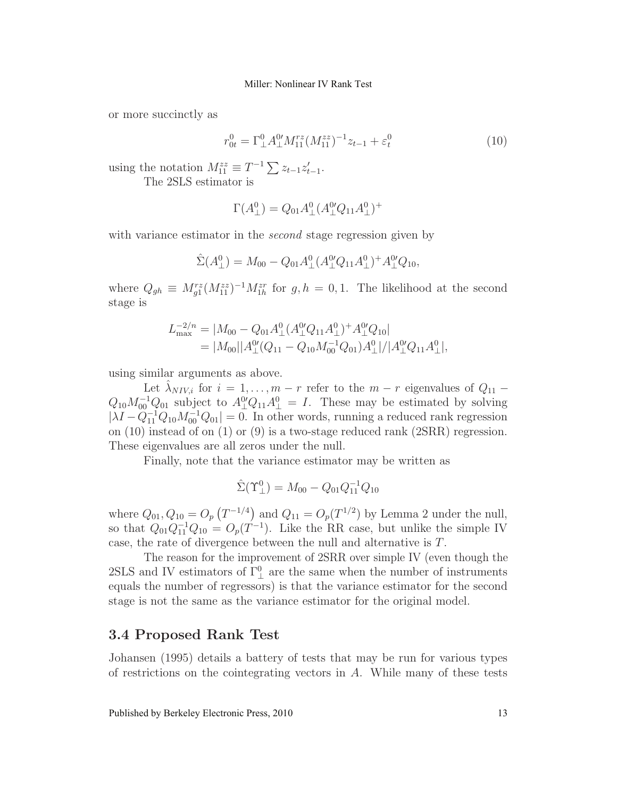or more succinctly as

$$
r_{0t}^{0} = \Gamma_{\perp}^{0} A_{\perp}^{0\prime} M_{11}^{rz} (M_{11}^{zz})^{-1} z_{t-1} + \varepsilon_t^0
$$
\n(10)

using the notation  $M_{11}^{zz} \equiv T^{-1} \sum z_{t-1} z'_{t-1}$ .

The 2SLS estimator is

$$
\Gamma(A^0_\perp) = Q_{01} A^0_\perp (A^0_\perp Q_{11} A^0_\perp)^+
$$

with variance estimator in the *second* stage regression given by

$$
\hat{\Sigma}(A^0_\perp) = M_{00} - Q_{01}A^0_\perp (A^0_\perp Q_{11}A^0_\perp)^+ A^0_\perp Q_{10},
$$

where  $Q_{gh} \equiv M_{g1}^{rz}(M_{11}^{zz})^{-1}M_{1h}^{zr}$  for  $g, h = 0, 1$ . The likelihood at the second stage is

$$
L_{\text{max}}^{-2/n} = |M_{00} - Q_{01}A_{\perp}^{0}(A_{\perp}^{0\prime}Q_{11}A_{\perp}^{0})^{+}A_{\perp}^{0\prime}Q_{10}|
$$
  
= |M\_{00}||A\_{\perp}^{0\prime}(Q\_{11} - Q\_{10}M\_{00}^{-1}Q\_{01})A\_{\perp}^{0}|/|A\_{\perp}^{0\prime}Q\_{11}A\_{\perp}^{0}|,

using similar arguments as above.

Let  $\hat{\lambda}_{NIV,i}$  for  $i = 1, \ldots, m-r$  refer to the  $m-r$  eigenvalues of  $Q_{11}$  –  $Q_{10}M_{00}^{-1}Q_{01}$  subject to  $A_{\perp}^{0}Q_{11}A_{\perp}^{0}=I$ . These may be estimated by solving  $|\lambda I - Q_{11}^{-1} Q_{10} M_{00}^{-1} Q_{01}| = 0$ . In other words, running a reduced rank regression on (10) instead of on (1) or (9) is a two-stage reduced rank (2SRR) regression. These eigenvalues are all zeros under the null.

Finally, note that the variance estimator may be written as

$$
\hat{\Sigma}(\Upsilon_{\perp}^{0}) = M_{00} - Q_{01}Q_{11}^{-1}Q_{10}
$$

where  $Q_{01}, Q_{10} = O_p(T^{-1/4})$  and  $Q_{11} = O_p(T^{1/2})$  by Lemma 2 under the null, so that  $Q_{01}Q_{11}^{-1}Q_{10} = O_p(T^{-1})$ . Like the RR case, but unlike the simple IV case, the rate of divergence between the null and alternative is T.

The reason for the improvement of 2SRR over simple IV (even though the 2SLS and IV estimators of  $\Gamma^0_{\perp}$  are the same when the number of instruments equals the number of regressors) is that the variance estimator for the second stage is not the same as the variance estimator for the original model.

### 3.4 Proposed Rank Test

Johansen (1995) details a battery of tests that may be run for various types of restrictions on the cointegrating vectors in  $A$ . While many of these tests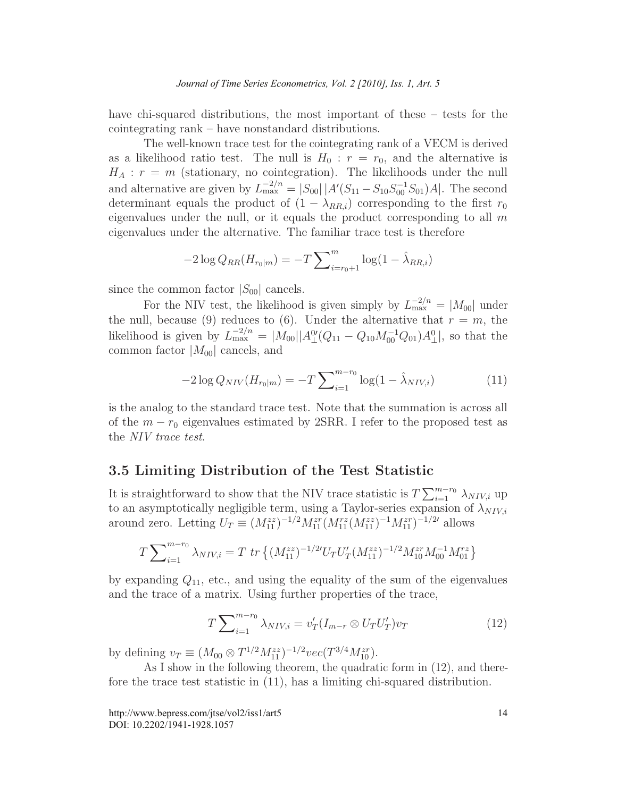have chi-squared distributions, the most important of these – tests for the cointegrating rank – have nonstandard distributions.

The well-known trace test for the cointegrating rank of a VECM is derived as a likelihood ratio test. The null is  $H_0 : r = r_0$ , and the alternative is  $H_A$ :  $r = m$  (stationary, no cointegration). The likelihoods under the null and alternative are given by  $L_{\text{max}}^{-2/n} = |S_{00}| |A'(S_{11} - S_{10}S_{00}^{-1}S_{01})A|$ . The second determinant equals the product of  $(1 - \lambda_{RR,i})$  corresponding to the first  $r_0$ eigenvalues under the null, or it equals the product corresponding to all  $m$ eigenvalues under the alternative. The familiar trace test is therefore

$$
-2\log Q_{RR}(H_{r_0|m}) = -T\sum_{i=r_0+1}^{m} \log(1 - \hat{\lambda}_{RR,i})
$$

since the common factor  $|S_{00}|$  cancels.

For the NIV test, the likelihood is given simply by  $L_{\text{max}}^{-2/n} = |M_{00}|$  under the null, because (9) reduces to (6). Under the alternative that  $r = m$ , the likelihood is given by  $L_{\text{max}}^{-2/n} = |M_{00}| |A_{\perp}^{0}(Q_{11} - Q_{10}M_{00}^{-1}Q_{01}) A_{\perp}^{0}|$ , so that the common factor  $|M_{00}|$  cancels, and

$$
-2\log Q_{NIV}(H_{r_0|m}) = -T\sum_{i=1}^{m-r_0} \log(1 - \hat{\lambda}_{NIV,i})
$$
(11)

is the analog to the standard trace test. Note that the summation is across all of the  $m - r_0$  eigenvalues estimated by 2SRR. I refer to the proposed test as the NIV trace test.

### 3.5 Limiting Distribution of the Test Statistic

It is straightforward to show that the NIV trace statistic is  $T \sum_{i=1}^{m-r_0} \lambda_{NIV,i}$  up to an asymptotically negligible term, using a Taylor-series expansion of  $\lambda_{NIV,i}$ around zero. Letting  $U_T \equiv (M_{11}^{zz})^{-1/2} M_{11}^{zr} (M_{11}^{rz} (M_{11}^{zz})^{-1} M_{11}^{zr})^{-1/2}$  allows

$$
T\sum_{i=1}^{m-r_0} \lambda_{NIV,i} = T \, tr \left\{ (M_{11}^{zz})^{-1/2} U_T U'_T (M_{11}^{zz})^{-1/2} M_{10}^{zr} M_{00}^{-1} M_{01}^{rz} \right\}
$$

by expanding  $Q_{11}$ , etc., and using the equality of the sum of the eigenvalues and the trace of a matrix. Using further properties of the trace,

$$
T\sum_{i=1}^{m-r_0} \lambda_{NIV,i} = v'_T(I_{m-r} \otimes U_T U'_T)v_T
$$
\n(12)

by defining  $v_T \equiv (M_{00} \otimes T^{1/2} M_{11}^{zz})^{-1/2} vec(T^{3/4} M_{10}^{zz}).$ 

As I show in the following theorem, the quadratic form in (12), and therefore the trace test statistic in (11), has a limiting chi-squared distribution.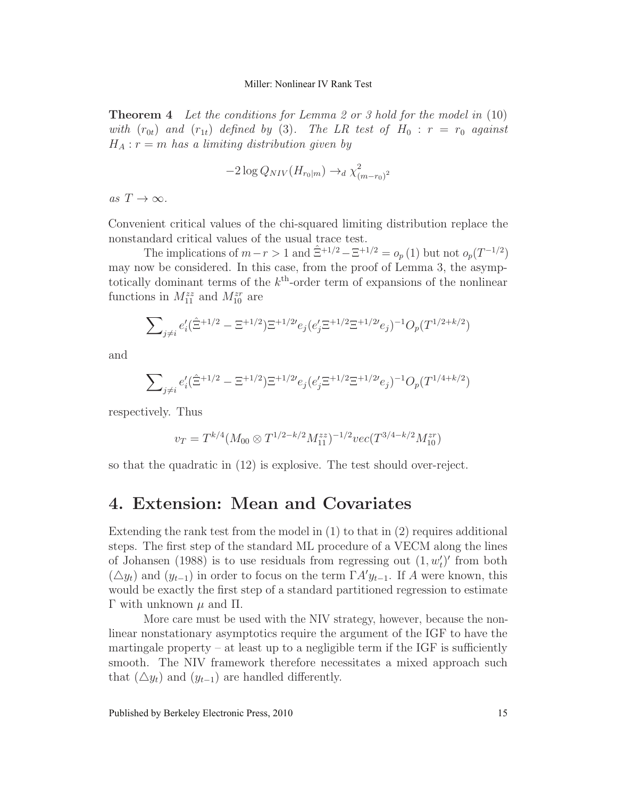Theorem 4 Let the conditions for Lemma 2 or 3 hold for the model in (10) with  $(r_{0t})$  and  $(r_{1t})$  defined by (3). The LR test of  $H_0 : r = r_0$  against  $H_A$ :  $r = m$  has a limiting distribution given by

$$
-2\log Q_{NIV}(H_{r_0|m}) \rightarrow_d \chi^2_{(m-r_0)^2}
$$

as  $T \to \infty$ .

Convenient critical values of the chi-squared limiting distribution replace the nonstandard critical values of the usual trace test.

The implications of  $m-r > 1$  and  $\hat{\Xi}^{+1/2} - \Xi^{+1/2} = o_p(1)$  but not  $o_p(T^{-1/2})$ may now be considered. In this case, from the proof of Lemma 3, the asymptotically dominant terms of the  $k^{\text{th}}$ -order term of expansions of the nonlinear functions in  $M_{11}^{zz}$  and  $M_{10}^{zr}$  are

$$
\sum_{j\neq i} e'_i (\hat{\Xi}^{+1/2}-\Xi^{+1/2}) \Xi^{+1/2} e_j (e'_j \Xi^{+1/2} \Xi^{+1/2} e_j)^{-1} O_p(T^{1/2+k/2})
$$

and

$$
\sum\nolimits_{j\neq i} e'_i (\hat\Xi^{+1/2}-\Xi^{+1/2}) \Xi^{+1/2\prime} e_j (e'_j \Xi^{+1/2}\Xi^{+1/2\prime} e_j)^{-1} O_p(T^{1/4+k/2})
$$

respectively. Thus

$$
v_T = T^{k/4} (M_{00} \otimes T^{1/2-k/2} M_{11}^{zz})^{-1/2} vec(T^{3/4-k/2} M_{10}^{zr})
$$

so that the quadratic in (12) is explosive. The test should over-reject.

# 4. Extension: Mean and Covariates

Extending the rank test from the model in  $(1)$  to that in  $(2)$  requires additional steps. The first step of the standard ML procedure of a VECM along the lines of Johansen (1988) is to use residuals from regressing out  $(1, w_t')'$  from both  $(\triangle y_t)$  and  $(y_{t-1})$  in order to focus on the term  $\Gamma A'y_{t-1}$ . If A were known, this would be exactly the first step of a standard partitioned regression to estimate  $Γ$  with unknown  $μ$  and  $Π$ .

More care must be used with the NIV strategy, however, because the nonlinear nonstationary asymptotics require the argument of the IGF to have the martingale property – at least up to a negligible term if the IGF is sufficiently smooth. The NIV framework therefore necessitates a mixed approach such that  $(\Delta y_t)$  and  $(y_{t-1})$  are handled differently.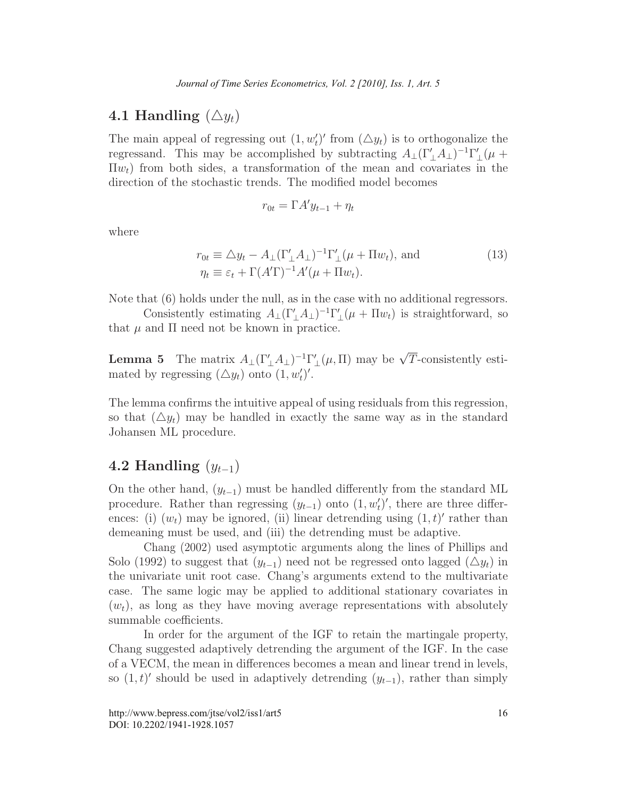## 4.1 Handling  $(\triangle y_t)$

The main appeal of regressing out  $(1, w'_t)'$  from  $(\triangle y_t)$  is to orthogonalize the regressand. This may be accomplished by subtracting  $A_{\perp}(\Gamma'_{\perp}A_{\perp})^{-1}\Gamma'_{\perp}(\mu +$  $\Pi w_t$ ) from both sides, a transformation of the mean and covariates in the direction of the stochastic trends. The modified model becomes

$$
r_{0t} = \Gamma A' y_{t-1} + \eta_t
$$

where

$$
r_{0t} \equiv \Delta y_t - A_{\perp} (\Gamma'_{\perp} A_{\perp})^{-1} \Gamma'_{\perp} (\mu + \Pi w_t), \text{ and}
$$
  
\n
$$
\eta_t \equiv \varepsilon_t + \Gamma (A' \Gamma)^{-1} A' (\mu + \Pi w_t).
$$
\n(13)

Note that (6) holds under the null, as in the case with no additional regressors.

Consistently estimating  $A_{\perp}(\Gamma'_{\perp}A_{\perp})^{-1}\Gamma'_{\perp}(\mu + \Pi w_t)$  is straightforward, so that  $\mu$  and  $\Pi$  need not be known in practice.

**Lemma 5** The matrix  $A_{\perp}(\Gamma'_{\perp}A_{\perp})^{-1}\Gamma'_{\perp}(\mu,\Pi)$  may be  $\sqrt{T}$ -consistently estimated by regressing  $(\triangle y_t)$  onto  $(1, w'_t)'$ .

The lemma confirms the intuitive appeal of using residuals from this regression, so that  $(\Delta y_t)$  may be handled in exactly the same way as in the standard Johansen ML procedure.

# 4.2 Handling  $(y_{t-1})$

On the other hand,  $(y_{t-1})$  must be handled differently from the standard ML procedure. Rather than regressing  $(y_{t-1})$  onto  $(1, w'_t)'$ , there are three differences: (i)  $(w_t)$  may be ignored, (ii) linear detrending using  $(1, t)'$  rather than demeaning must be used, and (iii) the detrending must be adaptive.

Chang (2002) used asymptotic arguments along the lines of Phillips and Solo (1992) to suggest that  $(y_{t-1})$  need not be regressed onto lagged  $(\Delta y_t)$  in the univariate unit root case. Chang's arguments extend to the multivariate case. The same logic may be applied to additional stationary covariates in  $(w_t)$ , as long as they have moving average representations with absolutely summable coefficients.

In order for the argument of the IGF to retain the martingale property, Chang suggested adaptively detrending the argument of the IGF. In the case of a VECM, the mean in differences becomes a mean and linear trend in levels, so  $(1, t)'$  should be used in adaptively detrending  $(y_{t-1})$ , rather than simply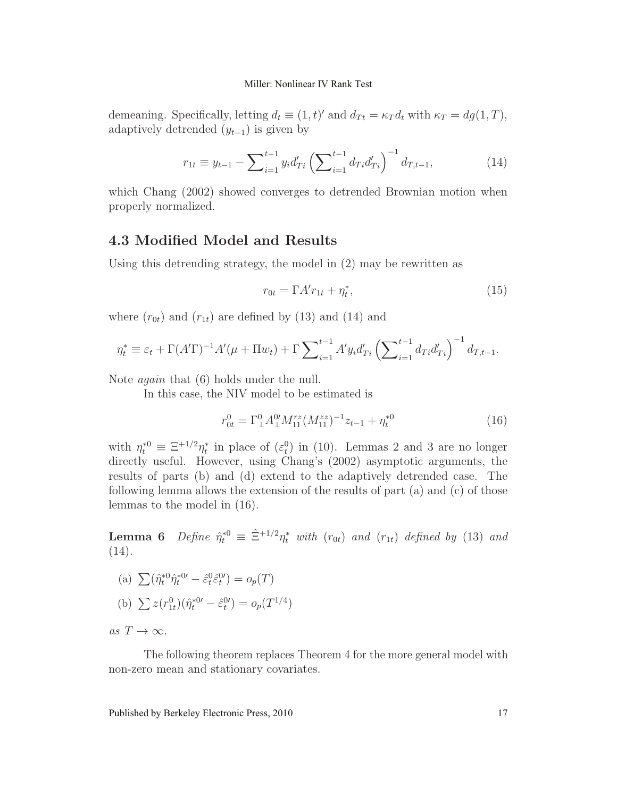demeaning. Specifically, letting  $d_t \equiv (1, t)'$  and  $d_{Tt} = \kappa_T d_t$  with  $\kappa_T = dg(1, T)$ , adaptively detrended  $(y_{t-1})$  is given by

$$
r_{1t} \equiv y_{t-1} - \sum_{i=1}^{t-1} y_i d'_{Ti} \left( \sum_{i=1}^{t-1} d_{Ti} d'_{Ti} \right)^{-1} d_{T,t-1}, \tag{14}
$$

which Chang (2002) showed converges to detrended Brownian motion when properly normalized.

### 4.3 Modified Model and Results

Using this detrending strategy, the model in (2) may be rewritten as

$$
r_{0t} = \Gamma A' r_{1t} + \eta_t^*,\tag{15}
$$

where  $(r_{0t})$  and  $(r_{1t})$  are defined by (13) and (14) and

$$
\eta_t^* \equiv \varepsilon_t + \Gamma(A'\Gamma)^{-1}A'(\mu + \Pi w_t) + \Gamma \sum_{i=1}^{t-1} A'y_i d'_{Ti} \left( \sum_{i=1}^{t-1} d_{Ti} d'_{Ti} \right)^{-1} d_{T,t-1}.
$$

Note *again* that (6) holds under the null.

In this case, the NIV model to be estimated is

$$
r_{0t}^{0} = \Gamma_{\perp}^{0} A_{\perp}^{0\prime} M_{11}^{rz} (M_{11}^{zz})^{-1} z_{t-1} + \eta_{t}^{*0}
$$
\n(16)

with  $\eta_t^{*0} \equiv \Xi^{+1/2} \eta_t^*$  in place of  $(\varepsilon_t^0)$  in (10). Lemmas 2 and 3 are no longer directly useful. However, using Chang's (2002) asymptotic arguments, the results of parts (b) and (d) extend to the adaptively detrended case. The following lemma allows the extension of the results of part (a) and (c) of those lemmas to the model in (16).

**Lemma 6** Define  $\hat{\eta}_t^{*0} \equiv \hat{\Xi}^{+1/2} \eta_t^*$  with  $(r_{0t})$  and  $(r_{1t})$  defined by (13) and  $(14).$ 

(a) 
$$
\sum (\hat{\eta}_t^{*0} \hat{\eta}_t^{*0} - \hat{\varepsilon}_t^0 \hat{\varepsilon}_t^0) = o_p(T)
$$

(b)  $\sum z(r_{1t}^0)(\hat{\eta}_t^{*0\prime} - \hat{\varepsilon}_t^{0\prime}) = o_p(T^{1/4})$ 

as  $T \to \infty$ .

The following theorem replaces Theorem 4 for the more general model with non-zero mean and stationary covariates.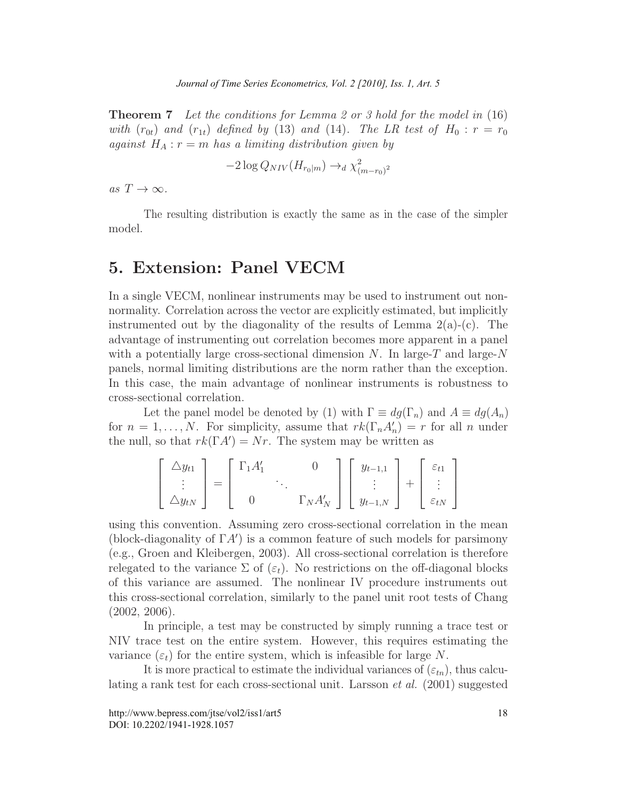Theorem 7 Let the conditions for Lemma 2 or 3 hold for the model in (16) with  $(r_{0t})$  and  $(r_{1t})$  defined by (13) and (14). The LR test of  $H_0: r = r_0$ against  $H_A: r = m$  has a limiting distribution given by

$$
-2\log Q_{NIV}(H_{r_0|m}) \rightarrow_d \chi^2_{(m-r_0)^2}
$$

as  $T \to \infty$ .

The resulting distribution is exactly the same as in the case of the simpler model.

# 5. Extension: Panel VECM

In a single VECM, nonlinear instruments may be used to instrument out nonnormality. Correlation across the vector are explicitly estimated, but implicitly instrumented out by the diagonality of the results of Lemma  $2(a)-(c)$ . The advantage of instrumenting out correlation becomes more apparent in a panel with a potentially large cross-sectional dimension  $N$ . In large-T and large-N panels, normal limiting distributions are the norm rather than the exception. In this case, the main advantage of nonlinear instruments is robustness to cross-sectional correlation.

Let the panel model be denoted by (1) with  $\Gamma \equiv dg(\Gamma_n)$  and  $A \equiv dg(A_n)$ for  $n = 1, ..., N$ . For simplicity, assume that  $rk(\Gamma_n A'_n) = r$  for all n under the null, so that  $rk(\Gamma A') = Nr$ . The system may be written as

$$
\begin{bmatrix}\n\Delta y_{t1} \\
\vdots \\
\Delta y_{tN}\n\end{bmatrix} = \begin{bmatrix}\n\Gamma_1 A'_1 & 0 \\
\vdots \\
0 & \Gamma_N A'_N\n\end{bmatrix} \begin{bmatrix}\ny_{t-1,1} \\
\vdots \\
y_{t-1,N}\n\end{bmatrix} + \begin{bmatrix}\n\varepsilon_{t1} \\
\vdots \\
\varepsilon_{tN}\n\end{bmatrix}
$$

using this convention. Assuming zero cross-sectional correlation in the mean (block-diagonality of  $\Gamma A'$ ) is a common feature of such models for parsimony (e.g., Groen and Kleibergen, 2003). All cross-sectional correlation is therefore relegated to the variance  $\Sigma$  of  $(\varepsilon_t)$ . No restrictions on the off-diagonal blocks of this variance are assumed. The nonlinear IV procedure instruments out this cross-sectional correlation, similarly to the panel unit root tests of Chang (2002, 2006).

In principle, a test may be constructed by simply running a trace test or NIV trace test on the entire system. However, this requires estimating the variance  $(\varepsilon_t)$  for the entire system, which is infeasible for large N.

It is more practical to estimate the individual variances of  $(\varepsilon_{tn})$ , thus calculating a rank test for each cross-sectional unit. Larsson et al. (2001) suggested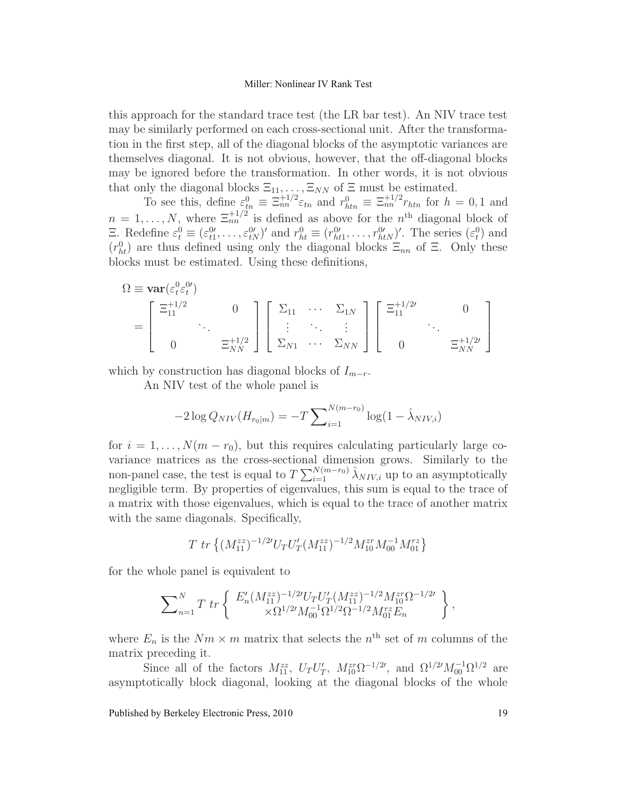this approach for the standard trace test (the LR bar test). An NIV trace test may be similarly performed on each cross-sectional unit. After the transformation in the first step, all of the diagonal blocks of the asymptotic variances are themselves diagonal. It is not obvious, however, that the off-diagonal blocks may be ignored before the transformation. In other words, it is not obvious that only the diagonal blocks  $\Xi_{11}, \ldots, \Xi_{NN}$  of  $\Xi$  must be estimated.

To see this, define  $\varepsilon_{in}^0 \equiv \Xi_{nn}^{+1/2} \varepsilon_{tn}$  and  $r_{htn}^0 \equiv \Xi_{nn}^{+1/2} r_{htn}$  for  $h = 0, 1$  and  $n = 1, \ldots, N$ , where  $\Xi_{nn}^{+1/2}$  is defined as above for the  $n^{\text{th}}$  diagonal block of  $\Xi$ . Redefine  $\varepsilon_t^0 \equiv (\varepsilon_{t1}^0, \ldots, \varepsilon_{tN}^0)'$  and  $r_{ht}^0 \equiv (r_{ht1}^0, \ldots, r_{htN}^0)'$ . The series  $(\varepsilon_t^0)$  and  $(r_{ht}^0)$  are thus defined using only the diagonal blocks  $\Xi_{nn}$  of  $\Xi$ . Only these blocks must be estimated. Using these definitions,

$$
\Omega \equiv \mathbf{var}(\varepsilon_t^0 \varepsilon_t^{0\prime})
$$
\n
$$
= \begin{bmatrix}\n\Xi_{11}^{+1/2} & 0 \\
\vdots & \ddots & \vdots \\
0 & \Xi_{NN}^{+1/2}\n\end{bmatrix}\n\begin{bmatrix}\n\Sigma_{11} & \cdots & \Sigma_{1N} \\
\vdots & \ddots & \vdots \\
\Sigma_{N1} & \cdots & \Sigma_{NN}\n\end{bmatrix}\n\begin{bmatrix}\n\Xi_{11}^{+1/2} & 0 \\
\vdots & \ddots & \vdots \\
0 & \Xi_{NN}^{+1/2} \end{bmatrix}
$$

which by construction has diagonal blocks of  $I_{m-r}$ .

An NIV test of the whole panel is

$$
-2\log Q_{NIV}(H_{r_0|m}) = -T\sum_{i=1}^{N(m-r_0)}\log(1-\hat{\lambda}_{NIV,i})
$$

for  $i = 1, \ldots, N(m - r_0)$ , but this requires calculating particularly large covariance matrices as the cross-sectional dimension grows. Similarly to the non-panel case, the test is equal to  $T \sum_{i=1}^{N(m-r_0)} \hat{\lambda}_{NIV,i}$  up to an asymptotically negligible term. By properties of eigenvalues, this sum is equal to the trace of a matrix with those eigenvalues, which is equal to the trace of another matrix with the same diagonals. Specifically,

$$
T \, tr \left\{ (M_{11}^{zz})^{-1/2} U_T U'_T (M_{11}^{zz})^{-1/2} M_{10}^{zr} M_{00}^{-1} M_{01}^{rz} \right\}
$$

for the whole panel is equivalent to

$$
\sum_{n=1}^{N} T \ tr \left\{ E'_n (M_{11}^{zz})^{-1/2} U_T U'_T (M_{11}^{zz})^{-1/2} M_{10}^{z \tau} \Omega^{-1/2\prime} \right\},\,
$$

where  $E_n$  is the  $Nm \times m$  matrix that selects the  $n^{\text{th}}$  set of m columns of the matrix preceding it.

Since all of the factors  $M_{11}^{zz}$ ,  $U_T U'_T$ ,  $M_{10}^{zr} \Omega^{-1/2}$ , and  $\Omega^{1/2} M_{00}^{-1} \Omega^{1/2}$  are asymptotically block diagonal, looking at the diagonal blocks of the whole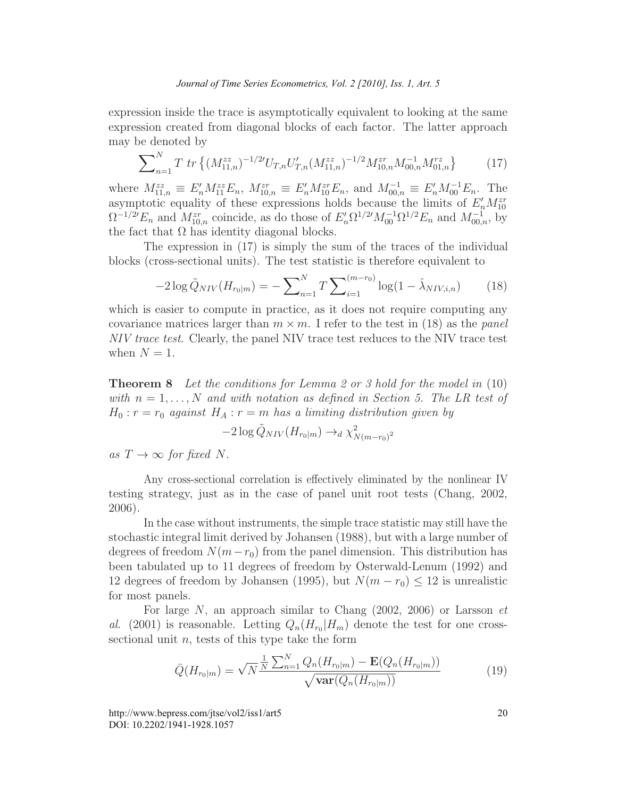expression inside the trace is asymptotically equivalent to looking at the same expression created from diagonal blocks of each factor. The latter approach may be denoted by

$$
\sum_{n=1}^{N} T \, tr \left\{ (M_{11,n}^{zz})^{-1/2} U_{T,n} U'_{T,n} (M_{11,n}^{zz})^{-1/2} M_{10,n}^{zr} M_{00,n}^{-1} M_{01,n}^{rz} \right\} \tag{17}
$$

where  $M_{11,n}^{zz} \equiv E'_n M_{11}^{zz} E_n$ ,  $M_{10,n}^{zr} \equiv E'_n M_{10}^{zr} E_n$ , and  $M_{00,n}^{-1} \equiv E'_n M_{00}^{-1} E_n$ . The asymptotic equality of these expressions holds because the limits of  $E'_n M_{10}^{zr}$  $\Omega^{-1/2} E_n$  and  $M_{10,n}^{zr}$  coincide, as do those of  $E'_n \Omega^{1/2} M_{00}^{-1} \Omega^{1/2} E_n$  and  $M_{00,n}^{-1}$ , by the fact that  $\Omega$  has identity diagonal blocks.

The expression in (17) is simply the sum of the traces of the individual blocks (cross-sectional units). The test statistic is therefore equivalent to

$$
-2\log \tilde{Q}_{NIV}(H_{r_0|m}) = -\sum_{n=1}^{N} T \sum_{i=1}^{(m-r_0)} \log(1 - \hat{\lambda}_{NIV,i,n}) \tag{18}
$$

which is easier to compute in practice, as it does not require computing any covariance matrices larger than  $m \times m$ . I refer to the test in (18) as the *panel* NIV trace test. Clearly, the panel NIV trace test reduces to the NIV trace test when  $N = 1$ .

Theorem 8 Let the conditions for Lemma 2 or 3 hold for the model in (10) with  $n = 1, \ldots, N$  and with notation as defined in Section 5. The LR test of  $H_0: r = r_0$  against  $H_A: r = m$  has a limiting distribution given by

$$
-2\log \tilde{Q}_{NIV}(H_{r_0|m}) \to_d \chi^2_{N(m-r_0)^2}
$$

as  $T \rightarrow \infty$  for fixed N.

Any cross-sectional correlation is effectively eliminated by the nonlinear IV testing strategy, just as in the case of panel unit root tests (Chang, 2002, 2006).

In the case without instruments, the simple trace statistic may still have the stochastic integral limit derived by Johansen (1988), but with a large number of degrees of freedom  $N(m-r_0)$  from the panel dimension. This distribution has been tabulated up to 11 degrees of freedom by Osterwald-Lenum (1992) and 12 degrees of freedom by Johansen (1995), but  $N(m - r_0) \leq 12$  is unrealistic for most panels.

For large N, an approach similar to Chang  $(2002, 2006)$  or Larsson et al. (2001) is reasonable. Letting  $Q_n(H_{r_0}|H_m)$  denote the test for one crosssectional unit  $n$ , tests of this type take the form

$$
\bar{Q}(H_{r_0|m}) = \sqrt{N} \frac{\frac{1}{N} \sum_{n=1}^{N} Q_n(H_{r_0|m}) - \mathbf{E}(Q_n(H_{r_0|m}))}{\sqrt{\text{var}(Q_n(H_{r_0|m}))}}
$$
(19)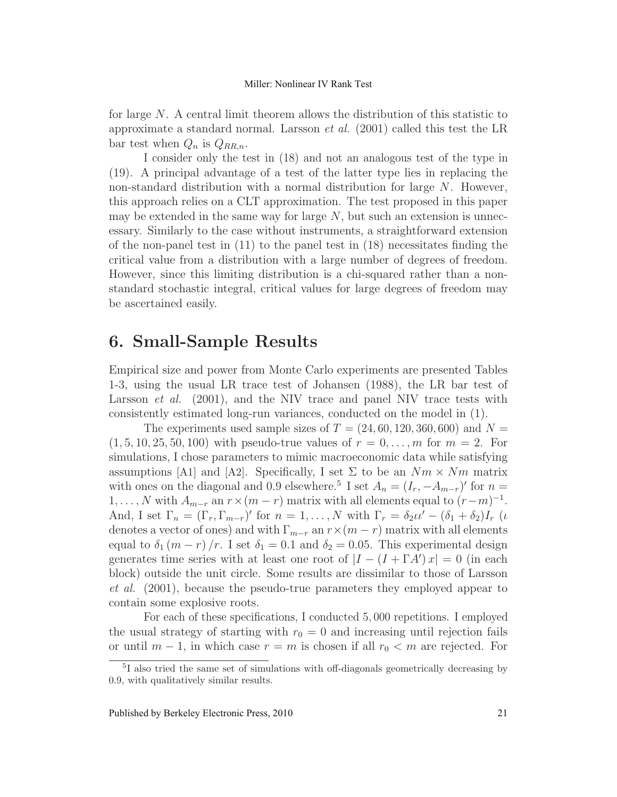for large N. A central limit theorem allows the distribution of this statistic to approximate a standard normal. Larsson *et al.* (2001) called this test the LR bar test when  $Q_n$  is  $Q_{RR,n}$ .

I consider only the test in (18) and not an analogous test of the type in (19). A principal advantage of a test of the latter type lies in replacing the non-standard distribution with a normal distribution for large N. However, this approach relies on a CLT approximation. The test proposed in this paper may be extended in the same way for large  $N$ , but such an extension is unnecessary. Similarly to the case without instruments, a straightforward extension of the non-panel test in  $(11)$  to the panel test in  $(18)$  necessitates finding the critical value from a distribution with a large number of degrees of freedom. However, since this limiting distribution is a chi-squared rather than a nonstandard stochastic integral, critical values for large degrees of freedom may be ascertained easily.

# 6. Small-Sample Results

Empirical size and power from Monte Carlo experiments are presented Tables 1-3, using the usual LR trace test of Johansen (1988), the LR bar test of Larsson *et al.* (2001), and the NIV trace and panel NIV trace tests with consistently estimated long-run variances, conducted on the model in (1).

The experiments used sample sizes of  $T = (24, 60, 120, 360, 600)$  and  $N =$  $(1, 5, 10, 25, 50, 100)$  with pseudo-true values of  $r = 0, \ldots, m$  for  $m = 2$ . For simulations, I chose parameters to mimic macroeconomic data while satisfying assumptions [A1] and [A2]. Specifically, I set  $\Sigma$  to be an  $Nm \times Nm$  matrix with ones on the diagonal and 0.9 elsewhere.<sup>5</sup> I set  $A_n = (I_r, -A_{m-r})'$  for  $n =$ 1, ..., N with  $A_{m-r}$  an  $r \times (m-r)$  matrix with all elements equal to  $(r-m)^{-1}$ . And, I set  $\Gamma_n = (\Gamma_r, \Gamma_{m-r})'$  for  $n = 1, ..., N$  with  $\Gamma_r = \delta_2 \mu' - (\delta_1 + \delta_2)I_r$  (*ι* denotes a vector of ones) and with  $\Gamma_{m-r}$  an  $r \times (m-r)$  matrix with all elements equal to  $\delta_1 (m-r)/r$ . I set  $\delta_1 = 0.1$  and  $\delta_2 = 0.05$ . This experimental design generates time series with at least one root of  $|I - (I + \Gamma A')x| = 0$  (in each block) outside the unit circle. Some results are dissimilar to those of Larsson et al. (2001), because the pseudo-true parameters they employed appear to contain some explosive roots.

For each of these specifications, I conducted 5, 000 repetitions. I employed the usual strategy of starting with  $r_0 = 0$  and increasing until rejection fails or until  $m-1$ , in which case  $r = m$  is chosen if all  $r_0 < m$  are rejected. For

<sup>5</sup> I also tried the same set of simulations with off-diagonals geometrically decreasing by 0.9, with qualitatively similar results.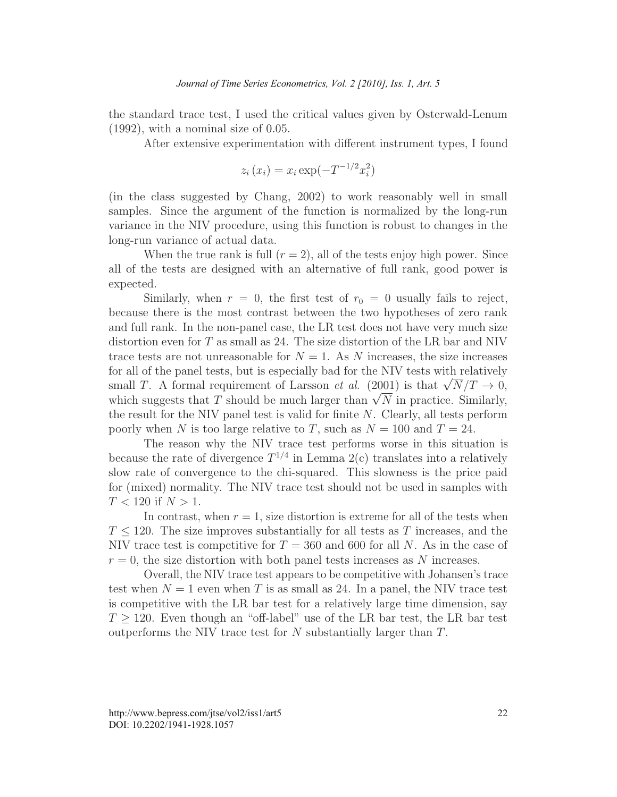the standard trace test, I used the critical values given by Osterwald-Lenum (1992), with a nominal size of 0.05.

After extensive experimentation with different instrument types, I found

$$
z_i(x_i) = x_i \exp(-T^{-1/2} x_i^2)
$$

(in the class suggested by Chang, 2002) to work reasonably well in small samples. Since the argument of the function is normalized by the long-run variance in the NIV procedure, using this function is robust to changes in the long-run variance of actual data.

When the true rank is full  $(r = 2)$ , all of the tests enjoy high power. Since all of the tests are designed with an alternative of full rank, good power is expected.

Similarly, when  $r = 0$ , the first test of  $r_0 = 0$  usually fails to reject, because there is the most contrast between the two hypotheses of zero rank and full rank. In the non-panel case, the LR test does not have very much size distortion even for T as small as 24. The size distortion of the LR bar and NIV trace tests are not unreasonable for  $N = 1$ . As N increases, the size increases for all of the panel tests, but is especially bad for the NIV tests with relatively small T. A formal requirement of Larsson *et al.* (2001) is that  $\sqrt{N}/T \to 0$ , which suggests that T should be much larger than  $\sqrt{N}$  in practice. Similarly, the result for the NIV panel test is valid for finite N. Clearly, all tests perform poorly when N is too large relative to T, such as  $N = 100$  and  $T = 24$ .

The reason why the NIV trace test performs worse in this situation is because the rate of divergence  $T^{1/4}$  in Lemma 2(c) translates into a relatively slow rate of convergence to the chi-squared. This slowness is the price paid for (mixed) normality. The NIV trace test should not be used in samples with  $T < 120$  if  $N > 1$ .

In contrast, when  $r = 1$ , size distortion is extreme for all of the tests when  $T \leq 120$ . The size improves substantially for all tests as T increases, and the NIV trace test is competitive for  $T = 360$  and 600 for all N. As in the case of  $r = 0$ , the size distortion with both panel tests increases as N increases.

Overall, the NIV trace test appears to be competitive with Johansen's trace test when  $N = 1$  even when T is as small as 24. In a panel, the NIV trace test is competitive with the LR bar test for a relatively large time dimension, say  $T \geq 120$ . Even though an "off-label" use of the LR bar test, the LR bar test outperforms the NIV trace test for N substantially larger than T.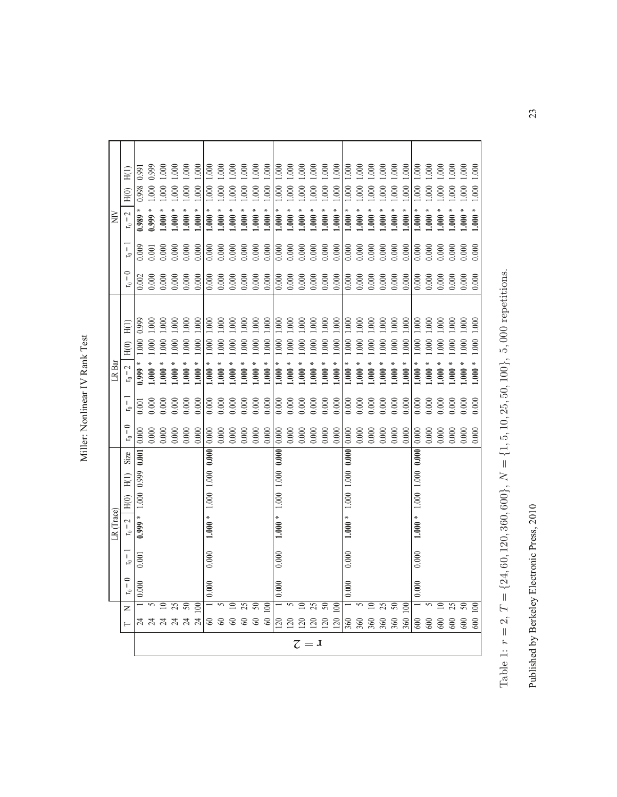| ופט<br>ג<br>$T_{\rho\alpha\gamma}$            |
|-----------------------------------------------|
| Rank                                          |
|                                               |
| inaar<br>$\overline{a}$<br>j<br>$\frac{1}{2}$ |
| $\ddot{\phantom{a}}$                          |

|                  | H(I)                        | 0.99      | <b>1.999</b> | 000.1         | $-00$            | 000.1         | $000$ .        | $-000$                | $-00$     | 000              | 000     | 000              | 000.1          | 0001                  | $-00$           | 000         | 1.000                      | 000.1   | .000           | 0001                        | 500                                                     | 000.1            | 500     | 000.1            | 000                   | 500                         | 500           | $-00$          | 000              | 000              | 600              |
|------------------|-----------------------------|-----------|--------------|---------------|------------------|---------------|----------------|-----------------------|-----------|------------------|---------|------------------|----------------|-----------------------|-----------------|-------------|----------------------------|---------|----------------|-----------------------------|---------------------------------------------------------|------------------|---------|------------------|-----------------------|-----------------------------|---------------|----------------|------------------|------------------|------------------|
|                  | H(0)                        | 0.998     | .000         | $000$ .       | $\overline{000}$ | $000$ .       | 600            | $\frac{8}{1}$         | $000$ .   | 000              | $000$ . | $000$ .          | 600            | $\frac{8}{1}$         | $000$ .         | $000$ .     | $000$ .                    | $000$ . | 600            | $\frac{8}{1}$               | $\frac{600}{\cdot}$                                     | $000$ .          | $000$ . | $000$ .          | 000                   | $\frac{8}{1}$               | $\frac{8}{1}$ | $000$ .        | $000$ .          | $000$ .          | 600              |
| $\breve{\equiv}$ | $\rm r_0=2$                 | 0.989     | 1,999        | 0.000         | 000.             | 0.000         | 000.1          | 000.1                 | 000.1     | 0.0001           | 000.1   | 0.000            | 0.000          | 000.1                 | 0.000           | 0.000       | 1.000                      | 1.000   | 0.000          | 0.0001                      | 1.000                                                   | 000.1            | 1.000   | 0.000            | $000$ .               | 000.1                       | 000.1         | 0.000          | 0.000            | 000.             | .000             |
|                  |                             |           |              |               |                  |               |                |                       |           |                  |         |                  |                |                       |                 |             |                            |         |                |                             |                                                         |                  |         |                  |                       |                             |               |                |                  |                  |                  |
|                  | $\vert\vert$<br>ڀ           | 0.009     | 0.001        | 0.000         | 0.000            | 0.000         | 0.000          | 0.000                 | 0.000     | 0.000            | 0.000   | 0.000            | 0.000          | 0.000                 | 0.000           | 0.000       | 0.000                      | 0.000   | 0.000          | 0.000                       | 0.000                                                   | 0.000            | 0.000   | 0.000            | 0.000                 | 0.000                       | 0.000         | 0.000          | 0.000            | 0.000            | 0.000            |
|                  | $\mathbf{r}_0 = \mathbf{0}$ | 0.002     | 0.000        | 0.000         | 0.000            | 0.000         | 0.000          | 0.000                 | 0.000     | 0.000            | 0.000   | 0.000            | 0.000          | 0.000                 | 0.000           | 0.000       | 0.000                      | 0.000   | 0.000          | 0.000                       | 0.000                                                   | 0.000            | 0.000   | 0.000            | $\frac{0.000}{0.000}$ |                             | 0.000         | 0.000          | 0.000            | 0.000            | 0.000            |
|                  |                             |           |              |               |                  |               |                |                       |           |                  |         |                  |                |                       |                 |             |                            |         |                |                             |                                                         |                  |         |                  |                       |                             |               |                |                  |                  |                  |
|                  | H(1)                        | 0.999     | $\approx$    | $\mathcal{S}$ | $\approx$        | $\mathcal{S}$ | $\frac{8}{1}$  | 000.1                 | $\approx$ | $\overline{000}$ | 000.1   | $\overline{000}$ | 000.1          | 1.000                 | 000.1           | 000         | 000.1                      | 000.1   | .000           | 000.1                       | 000.1                                                   | $\overline{000}$ | 000.1   | $000$ .          | $\infty$              | .000                        | $\frac{8}{1}$ | $\frac{60}{1}$ | $\overline{000}$ | $\overline{000}$ | $\overline{000}$ |
|                  | H(0)                        | 000.1     | 600          | 600           | $\frac{8}{1}$    | 000           | 600            | $\odot$               | 000       | $000$ .          | $000$ . | $000$ .          | 000            | 000                   | $000$ .         | $000$ .     | 000                        | $000$ . | 600            | 600                         | 600                                                     | 000              | 800     | $\overline{000}$ | 600                   | 800                         | 800           | 600            | 600              | 000              | $\overline{000}$ |
| LR Bar           | $r_0 = 2$                   | 0.999     | $000$ .      | $000$ .       | $000$ .          | 0.000         | $\epsilon$     | $\ddot{\mathbf{5}}$   | 0.000     | 000.1            | 000.1   | 0.000            | 000.1          | $\frac{000}{100}$     | 000.1           | 000.1       | 000.1                      | 000.1   | $000$ .        | 000.1                       | 000.1                                                   | 000.1            | 000.1   | 000.1            | $000$ .               | $\ddot{=}$                  | $000$ .       | $000$ .        | $000$ .          | $000$ .          | .000             |
|                  | $\mathbf{r}_0 =$            | 0.001     | 0.000        | 0.000         | 0.000            | 0.000         | 0.000          | 0.000                 | 0.000     | 0.000            | 0.000   | 0.000            | 0.000          | 0.000                 | 0.000           | 0.000       | 0.000                      | 0.000   | 0.000          | 0.000                       | 0.000                                                   | 0.000            | 0.000   | 0.000            | 0.000                 | 0.000                       | 0.000         | 0.000          | 0.000            | 0.000            | 0.000            |
|                  | $r_0 =$                     | 0.000     | 0.000        | 0.000         | 0.000            | 0.000         | 0.000          | 0.000                 | 0.000     | 0.000            | 0.000   | 0.000            | 0.000          | 0.000                 | 0.000           | $0.000$     | 0.000                      | 0.000   | 0.000          | 0.000                       | 0.000                                                   | 0.000            | 0.000   | $0.000$          | 0.000                 | 0.000                       | 0.000         | 0.000          | 0.000            | 0.000            | 0.000            |
|                  | Size                        | 0.001     |              |               |                  |               |                | 0.000                 |           |                  |         |                  |                | 0.000                 |                 |             |                            |         |                |                             |                                                         |                  |         |                  |                       |                             |               |                |                  |                  |                  |
|                  | H(1)                        | 0.999     |              |               |                  |               |                |                       |           |                  |         |                  |                |                       |                 |             |                            |         |                |                             |                                                         |                  |         |                  |                       |                             |               |                |                  |                  |                  |
|                  | H(0)                        | $1.000\,$ |              |               |                  |               |                |                       |           |                  |         |                  |                |                       |                 |             |                            |         |                |                             |                                                         |                  |         |                  |                       |                             |               |                |                  |                  |                  |
| R (Trace)        | $r_0 = 2$                   | $0.999 *$ |              |               |                  |               |                | $1.000 * 1.000 1.000$ |           |                  |         |                  |                | $1.000 * 1.000 1.000$ |                 |             |                            |         |                | $1.000 * 1.000 1.000 0.000$ |                                                         |                  |         |                  |                       | $1.000 * 1.000 1.000 0.000$ |               |                |                  |                  |                  |
|                  | $r_0 =$                     | 0.001     |              |               |                  |               |                | 0.000                 |           |                  |         |                  |                | 0.000                 |                 |             |                            |         |                | 0.000                       |                                                         |                  |         |                  |                       | $0.000$                     |               |                |                  |                  |                  |
|                  | $\mathbf{r}_0 = \mathbf{0}$ | 0.000     |              |               |                  |               |                | 0.000                 |           |                  |         |                  |                | 0.000                 |                 |             |                            |         |                | 0.000                       |                                                         |                  |         |                  |                       | $0.000$                     |               |                |                  |                  |                  |
|                  | z                           |           |              | ≘             | SS               | ິລ            | $\overline{0}$ |                       |           | ≘                | 25      | ຊ                | $\overline{0}$ |                       |                 | $\subseteq$ | SS                         | ຊ       | $\overline{0}$ |                             |                                                         | ≘                | SS      | ິຣ               | $\geq$                |                             |               | ≘              | SS               | ຂ                | $\geq$           |
|                  |                             |           |              |               |                  |               | य य य य य यू   | <u>ය ප</u>            |           | 888              |         |                  | ි              | $\overline{20}$       | $\overline{20}$ | $\Xi$       | $\overline{20}$            | 120     |                |                             | $\frac{2}{5}$ $\frac{2}{5}$ $\frac{2}{5}$ $\frac{2}{5}$ |                  | 360     | 360              | 360                   | 600                         | 600           | $\Im$          | 600              | $600\,$          | 600              |
|                  |                             |           |              |               |                  |               |                |                       |           |                  |         |                  |                |                       |                 |             | $\mathcal{I}=\mathfrak{I}$ |         |                |                             |                                                         |                  |         |                  |                       |                             |               |                |                  |                  |                  |
|                  |                             |           |              |               |                  |               |                |                       |           |                  |         |                  |                |                       |                 |             |                            |         |                |                             |                                                         |                  |         |                  |                       |                             |               |                |                  |                  |                  |

Table 1:  $r = 2$ ,  $\mathord{\text{H}}$  $=\{24, 60, 120, 360, 600\}, N$ = $={1, 5, 10, 25, 50, 100}, 5, 000$  repetitions.

Published by Berkeley Electronic Press, 2010 Published by Berkeley Electronic Press, 2010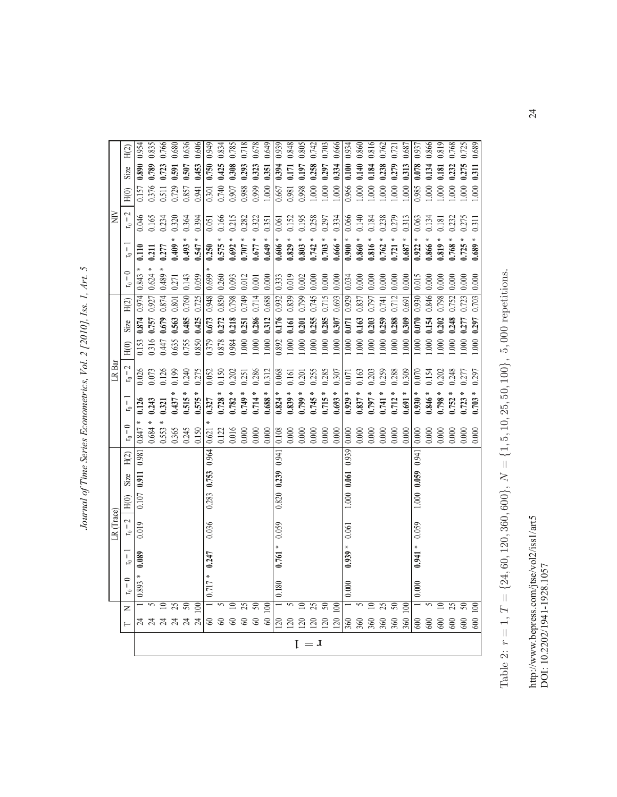| ı<br>l                                                                                                          |
|-----------------------------------------------------------------------------------------------------------------|
| ļ<br>I                                                                                                          |
| $\frac{1}{2}$<br>۱<br>֕<br>í<br>í,<br>۱                                                                         |
| l                                                                                                               |
| l<br>١<br>j<br>j                                                                                                |
| ֕<br>$\sim$<br>֧֧֧֧֧֧֧֚֚֚֚֚֚֚֚֚֚֚֚֚֚֚֚֚֚֚֚֚֚֝֝֝֝֓֝֬֝֓֝֬֝֓֝֬֝֬֝֓֝֬֝֬֝֓<br>֧֪֪֪֪֪֪֪֪֪֪֪֪֪֪֪֪֪֪֪֪֪֪֪֪֪֪֪֝֝֝֝֝<br>ţ |
| ֧֧֧ׅ֧֧֧֧֧֧֧֛֛֛֛֛֛֛֛֛֪֛֪֛֛֛֛֪֛֪֛֛֛֛֪֛֪֛֪֛֪֛֚֚֚֚֚֚֚֚֚֚֚֚֚֚֝֕֝֝֝֜֝֬֝֝֟֓֝֟֜֝֬֝֬֜֜֜֜֜֜֜֜֜֜֜<br>j                     |
| l<br>١                                                                                                          |
| I                                                                                                               |

|              | H(2)                     | 0.954          | 0.835                                           | 0.766          | 0.680          | 0.636          | 0.606          | 0.949             | 0.834          | 0.785                               | 0.718          | 0.678          | 0.649            | 0.939           | 0.848           | 0.805          | 0.742           | 0.703          | 0.666          | 0.934           | 0.860          | 0.816          | 0.762          | 0.721          | 0.687          | 0.937             | 0.866          | 0.819          | 0.768          | 0.725          | 0.689          |
|--------------|--------------------------|----------------|-------------------------------------------------|----------------|----------------|----------------|----------------|-------------------|----------------|-------------------------------------|----------------|----------------|------------------|-----------------|-----------------|----------------|-----------------|----------------|----------------|-----------------|----------------|----------------|----------------|----------------|----------------|-------------------|----------------|----------------|----------------|----------------|----------------|
|              | Size                     | 0.890          | 0.789                                           | 0.723          | 0.591          | 0.507          | 0.453          | 0.750             | 0.425          | 0.308                               | 0.293          | 0.323          | 0.351            | 0.394           | 0.171           | 0.197          | 0.258           | 0.297          | 0.334          | 0.100           | 0.140          | 0.184          | 0.238          | 0.279          | 0.313          | 0.078             | 0.134          | 0.181          | 0.232          | 0.275          | 1311           |
|              | H(0)                     | 0.157          | 0.376                                           | 3.511          | 0.729          | 0.857          | 0.941          | 0.301             | 0.740          | 0.907                               | 0.988          | 0.999          | 000              | 0.667           | 0.981           | 0.998          | 1.000           | 1.000          | 000            | 0.966           | 1.000          | 000.1          | 000.1          | 0.000          | 000            | 0.985             | 000.1          | 000.1          | 000.1          | $000$ .        | 600            |
| È            | $\rm r_0=2$              | 0.046          | 0.165                                           | 0.234          | 0.320          | 0.364          | 0.394          | 0.051             | 0.166          | 0.215                               | 0.282          | 0.322          | 0.351            | 0.061           | 0.152           | 0.195          | 0.258           | 0.297          | 0.334          | 0.066           | 0.140          | 0.184          | 0.238          | 0.279          | 0.313          | 0.063             | 0.134          | 0.181          | 0.232          | 0.275          | 0.311          |
|              | $\sf II$                 | 110            | 0.211                                           | .277           | 0.409          | 0.493          | 0.547          | 0.250             | 0.575          | 0.692                               | 0.707          | $0.677 *$      | $0.649 *$        | 0.606           | $0.829 *$       | $0.803 *$      | $0.742 * 0.703$ |                | $0.666 *$      | $0.900 *$       | $0.860 *$      | $0.816 *$      | $0.762 *$      | 0.721          | 1.687          | $0.922 *$         | 0.866          | 0.819          | 0.768          | 0.725          | 0.689          |
|              | $\mathbf{r}_0=0$         |                |                                                 |                |                |                |                |                   |                |                                     |                |                |                  |                 |                 |                |                 |                |                |                 |                |                |                |                |                |                   |                |                |                |                |                |
|              |                          | 0.843<br>0.974 | 0.624<br>0.927                                  | 0.489<br>0.874 | 0.271<br>0.801 | 0.143<br>0.760 | 0.059<br>0.725 | 0.699<br>8+6:0    | 0.260<br>0.850 | 0.093<br>0.798                      | 0.012<br>0.749 | 0.001<br>0.714 | 0.000<br>0.688   | 0.333<br>0.932  | 0.019<br>0.839  | 0.002<br>0.799 | 0.000<br>0.745  | 0.000<br>0.715 | 0.000<br>0.693 | 0.034<br>0.929  | 0.000<br>0.837 | 0.000<br>0.797 | 0.000<br>0.741 | 0.000<br>0.712 | 0.000          | 0.015<br>0.930    | 0.000<br>0.846 | 0.000<br>0.798 | 0.000<br>0.752 | 0.000<br>0.723 | 0.000<br>0.703 |
|              | H <sub>(2)</sub><br>Size | 0.874          | 0.757                                           | 0.679          | 0.563          | 0.485          | 0.425          | 0.673             | 0.272          | 0.218                               | 0.251          | 0.286          | 0.312            | 0.176           | 1.161           | 0.201          | <b>1.255</b>    | 0.285          | 0.307          | 0.071           | 0.163          | 1.203          | 0.259          | 0.288          | 0.691<br>1.309 | 0.070             | 154            | 1.202          | 0.248          | 1277           | 1297           |
|              | H(0)                     | 0.153          | 0.316                                           | 0.447          | 0.635          | 0.755          | 0.850          | 0.379             | 0.878          | 0.984                               | 1.000          | 000            | $\overline{000}$ | 0.892           | 000.1           | $000$ .        | $000$ .         | 1.000          | 000            | 000             | $000$ .        | $000$ .        | $000$ .        | $000$ .        | 000            | 000               | 000.           | $000$ .        | 000            | $000$ .        | 600            |
| LR Bar       | $\rm r_0=2$              |                |                                                 |                |                |                |                |                   |                |                                     |                |                |                  |                 |                 |                |                 |                |                |                 |                |                |                |                |                |                   |                |                |                |                |                |
|              |                          | 0.026          | 0.73                                            | 0.126          | 0.199          | 0.240          | 0.275          | 0.052             | 0.150          | 0.202                               | 0.251          | 0.286          | 0.312            | 0.068           | 0.161           | 0.201          | 0.255           | 0.285          | 0.307          | 0.071           | 0.163          | 0.203          | 0.259          | 0.288          | 0.309          | 0.070             | 0.154          | 0.202          | 0.248          | 0.277          | 0.297          |
|              | $r_0 =$                  | 0.126          | 0.243                                           | 1321           | 0.437          | 0.515          | 0.575          | 0.327             | 0.728          | $0.782 *$<br>$0.749 *$<br>$0.714 *$ |                |                | $0.688 *$        | $0.824 *$       | $0.839 *$       | $0.799 *$      | $0.745 * 0.715$ |                | $0.693 *$      | $0.929 *$       | $0.837 *$      | $0.797 *$      | $0.741 *$      | 0.712          | $0.691 *$      | $0.930 *$         | $0.846 *$      | $0.798 *$      | 0.752          | 0.723          | 0.703          |
|              | $\rm r_0=0$              | 0.847          | 0.684                                           | 0.553<br>0.365 |                | 0.245          | 0.150          | 0.621             | 0.122          | 0.016                               | 0.000          | 0.000          | 0.000            | 0.108           | 0.000           | 0.000          | 0.000           | 0.000          | 0.000          | 0.000           | 0.000          | 0.000          | 0.000          | 0.000          | 0.000          | 0.000             | 0.000          | 0.000          | 0.000          | 0.000          | 0.000          |
|              | H(2)                     | 0.981          |                                                 |                |                |                |                |                   |                |                                     |                |                |                  | 0.941           |                 |                |                 |                |                | 0.939           |                |                |                |                |                |                   |                |                |                |                |                |
|              | Size                     | 0.911          |                                                 |                |                |                |                | 0.283 0.753 0.964 |                |                                     |                |                |                  | $0.820$ 0.239   |                 |                |                 |                |                | 1.000 0.061     |                |                |                |                |                | 1.000 0.059 0.941 |                |                |                |                |                |
|              | H(0)                     | $0.107$        |                                                 |                |                |                |                |                   |                |                                     |                |                |                  |                 |                 |                |                 |                |                |                 |                |                |                |                |                |                   |                |                |                |                |                |
| $LR$ (Trace) | $\rm r_0\,{=}\,2$        | 0.019          |                                                 |                |                |                |                | 0.036             |                |                                     |                |                |                  | 0.059           |                 |                |                 |                |                |                 |                |                |                |                |                |                   |                |                |                |                |                |
|              | $\mathbf{r}_0 =$         | 0.089          |                                                 |                |                |                |                |                   |                |                                     |                |                |                  | $0.761 *$       |                 |                |                 |                |                | $0.939 * 0.061$ |                |                |                |                |                | $0.941 * 0.059$   |                |                |                |                |                |
|              | $\mathbf{r}_0 = 0$       | $0.893 *$      |                                                 |                |                |                |                | $0.717 * 0.247$   |                |                                     |                |                |                  | 0.180           |                 |                |                 |                |                | 0.000           |                |                |                |                |                | 0.000             |                |                |                |                |                |
|              |                          |                |                                                 | ≘              | 25             | ຂ              | $\geq$         |                   |                | ≘                                   | 52             | ິຣ             | $\geq$           |                 |                 | $\mathop{=}$   | SS              | ຂ              | $\geq$         |                 |                |                | 2S             | ສ              | $\geq$         |                   |                | ≘              | 25             | ສ              | $\geq$         |
|              | Z                        |                | $\begin{array}{c}\n 777777788888\n \end{array}$ |                |                |                |                |                   |                |                                     |                | 60             | 60               | $\overline{20}$ | $\overline{20}$ | $\overline{2}$ | $\frac{20}{20}$ |                | 120            | 360<br>360      |                | 360            | 360            | 360            | 360            | 600               | 600            | $\Im$          | 600            | $600\,$        | 600            |
|              |                          |                |                                                 |                |                |                |                |                   |                |                                     |                |                |                  |                 |                 |                | $I = J$         |                |                |                 |                |                |                |                |                |                   |                |                |                |                |                |

Table 2:  $r = 1$ ,  $\mathord{\text{H}}$  $=\{24, 60, 120, 360, 600\}, N$  ${1, 5, 10, 25, 50, 100}, 5, 000$  repetitions.

http://www.bepress.com/jtse/vol2/iss1/art5<br>DOI: 10.2202/1941-1928.1057 http://www.bepress.com/jtse/vol2/iss1/art5 DOI: 10.2202/1941-1928.1057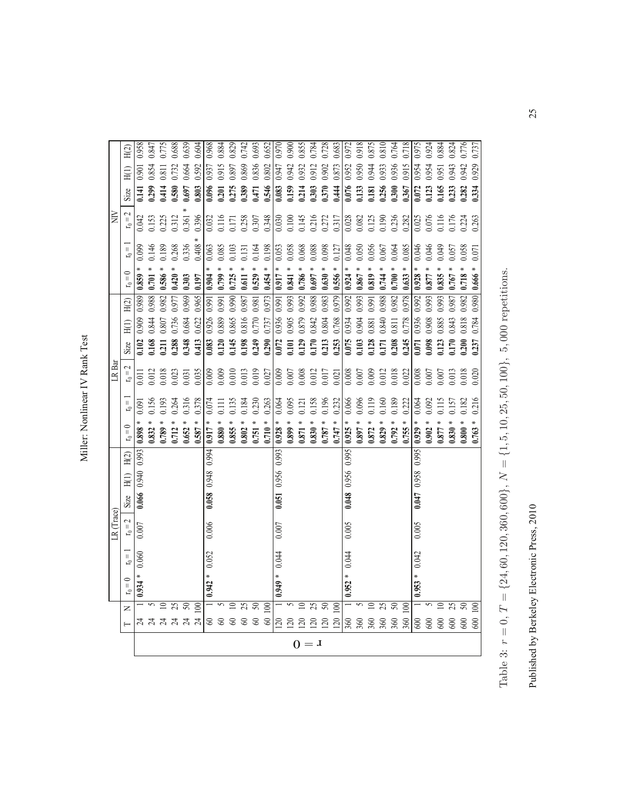| م<br>F<br>Rank   |  |
|------------------|--|
| $\vdots$<br>֪֪֓֟ |  |
|                  |  |

|            | H(2)                        | 0.958                                                             | 0.847            | 0.775     | 0.688     | 0.639     | 0.604     | 0.968           | 0.884             | 0.829     | 0.742     | 0.693     | 0.652     | 0.970           | 0.900        | 0.855             | 0.784              | 0.728                | 0.683     | 0.972           | 0.918     | 0.875     | 0.810     | 0.764             | 0.718      | 0.975                       | 0.924     | 0.884     | 0.824     | 0.776        | 0.737           |
|------------|-----------------------------|-------------------------------------------------------------------|------------------|-----------|-----------|-----------|-----------|-----------------|-------------------|-----------|-----------|-----------|-----------|-----------------|--------------|-------------------|--------------------|----------------------|-----------|-----------------|-----------|-----------|-----------|-------------------|------------|-----------------------------|-----------|-----------|-----------|--------------|-----------------|
|            |                             | 0.901                                                             | 0.854            | 3.811     | 0.732     | 0.664     | 0.592     | 0.937           | 0.915             | 0.897     | 0.869     | 0.836     | 0.802     | 0.947           | 0.942        | 0.932             | 0.912              | 0.902                | 0.873     | 0.952           | 0.950     | 0.944     | 0.933     | 0.936             | 0.915      | 0.954                       | 0.954     | 0.951     | 0.943     | 0.942        | 0.929           |
|            | Size                        | 0.141                                                             | 0.299            | 1414      | 0.580     | 0.697     | 0.803     | 0.096           | 0.201             | 0.275     | 0.389     | 0.471     | 0.546     | 0.083           | 0.159        | 0.214             | 0.303              | 0.370                | 0.444     | 0.076           | 0.133     | 0.181     | 0.256     | 0.300             | 0.367      | 0.072                       | 0.123     | 1.165     | 0.233     | 0.282        | 0.334           |
| À          | $\rm r_0=2$                 | 0.042                                                             | 0.153            | 0.225     | 0.312     | 0.361     | 0.396     | 0.032           | 0.116             | 0.171     | 0.258     | 0.307     | 0.348     | 0.030           | 0.100        | 0.145             | 0.216              | 0.272                | 0.317     | 0.028           | 0.082     | 0.125     | 0.190     | 0.236             | 0.282      | 0.025                       | 0.076     | 0.116     | 0.176     | 0.224        | 0.263           |
|            | $\mathbf{r}_0 =$            | 0.099                                                             | 0.146            | 0.189     | 0.268     | 0.336     | 0.408     | 0.063           | 0.085             | 0.103     | 0.131     | 0.164     | 0.198     | 0.053           | 0.058        | 0.068             | 0.088              | 0.098                | 0.127     | 0.048           | 0.050     | 0.056     | 0.067     | 0.064             | 0.085      | 0.046                       | 0.046     | 0.049     | 0.057     | 0.058        | 0.071           |
|            | $\mathbf{r}_0 = \mathbf{0}$ | $0.859 *$                                                         | $0.701 *$        | 0.586     | $0.420 *$ | 0.303     | 0.197     | 0.904           | $0.799 *$         | $0.725 *$ | $0.611 *$ | $0.529 *$ | $0.454 *$ | $0.917 *$       | $0.841 *$    | $0.786 *$         | $0.697 *$          | $0.630$ $^{\ast}$    | $0.556 *$ | $0.924 *$       | $0.867 *$ | $0.819 *$ | $0.744 *$ | $0.700$ $^{\ast}$ | $0.633 *$  | $0.928 *$                   | 0.877     | $0.835 *$ | $0.767 *$ | $0.718 *$    | 0.666           |
|            | H(2)                        | 0.989                                                             | 0.988            | 0.982     | 0.977     | 0.969     | 0.965     | 166'0           | 0.991             | 0.990     | 0.987     | 0.981     | 0.973     | 0.991           | 0.993        | 0.992             | 0.988              | 0.983                | 0.979     | 0.992           | 0.993     | 0.991     | 0.988     | 0.982             | 0.978      | 0.992                       | 0.993     | 0.993     | 0.987     | 0.982        | 0.980           |
|            | $\Xi$                       | 0.909                                                             | 0.844            | 0.807     | 0.736     | 0.684     | 0.622     | 0.926           | 0.889             | 0.865     | 0.816     | 0.770     | 0.737     | 0.936           | 0.905        | 0.879             | 0.842              | 0.804                | 0.768     | 0.934           | 0.904     | 0.881     | 0.840     | 0.811             | 0.778      | 0.936                       | 0.908     | 0.885     | 0.843     | 0.818        | 0.784           |
|            | Size                        | 0.102                                                             | 0.168            | 0.211     | 0.288     | 0.348     | 0.413     | 0.083           | 0.120             | 0.145     | 0.198     | 0.249     | 0.290     | 0.072           | 101          | 0.129             | 0.170              | 0.213                | 0.253     | 0.075           | 1.103     | 0.128     | 0.171     | 0.208             | 0.245      | 0.071                       | 0.098     | 0.123     | 0.170     | 0.200        | 1.237           |
| LR Bar     | $\rm r_0=2$                 | 0.01                                                              | 0.012            | 0.018     | 0.023     | 0.031     | 0.035     | 0.009           | 0.009             | 0.010     | 0.013     | 0.019     | 0.027     | 0.009           | $0.007$      | 0.008             | 0.012              | 0.017                | 0.021     | 0.008           | 0.007     | 0.009     | 0.012     | 0.018             | 0.022      | 0.008                       | 0.007     | 0.007     | 0.013     | 0.018        | 0.020           |
|            | $r_0 =$                     | 0.091                                                             | 0.156            | 0.193     | 0.264     | 0.316     | 0.378     | 0.074           | 0.111             | 0.135     | 0.184     | 0.230     | 0.263     | 0.064           | 0.095        | 0.121             | 0.158              | 0.196                | 0.232     | 0.066           | 0.096     | 0.119     | 0.160     | 0.189             | 0.222      | 0.064                       | 0.092     | 0.115     | 0.157     | 0.182        | 0.216           |
|            | $\mathbf{r}_0 = 0$          | $0.898 *$                                                         | $0.832 *$        | $0.789 *$ | $0.712 *$ | $0.652 *$ | $0.587 *$ | $0.917 *$       | $0.880$ $^{\ast}$ | $0.855 *$ | $0.802 *$ | $0.751 *$ | $0.710 *$ | $0.928 *$       | $0.899 *$    | $0.871 *$         | $0.830 *$          | $0.787 *$            | $0.747 *$ | $0.925 *$       | $0.897 *$ | $0.872 *$ | $0.829 *$ | $0.792 *$         | $0.755 *$  | $0.047$ 0.958 0.995 0.929 * | $0.902 *$ | $0.877 *$ | $0.830 *$ | $0.800 *$    | 0.763           |
|            | H(2)                        |                                                                   |                  |           |           |           |           |                 |                   |           |           |           |           |                 |              | 0.048 0.956 0.995 |                    |                      |           |                 |           |           |           |                   |            |                             |           |           |           |              |                 |
|            | H(1)                        | 0.058 0.948 0.994<br>$0.066$ $0.940$ $0.993$<br>0.051 0.956 0.993 |                  |           |           |           |           |                 |                   |           |           |           |           |                 |              |                   |                    |                      |           |                 |           |           |           |                   |            |                             |           |           |           |              |                 |
|            | Size                        |                                                                   |                  |           |           |           |           |                 |                   |           |           |           |           |                 |              |                   |                    |                      |           |                 |           |           |           |                   |            |                             |           |           |           |              |                 |
| LR (Trace) | $r_0 = 2$                   | $0.007$                                                           |                  |           |           |           |           | 0.006           |                   |           |           |           |           | 0.007           |              |                   |                    |                      |           | 0.005           |           |           |           |                   |            | 0.005                       |           |           |           |              |                 |
|            | $\rm r_0=1$                 |                                                                   |                  |           |           |           |           |                 |                   |           |           |           |           | 0.044           |              |                   |                    |                      |           |                 |           |           |           |                   |            |                             |           |           |           |              |                 |
|            | $\mathbf{r}_0 = \mathbf{0}$ | $0.934 * 0.060$                                                   |                  |           |           |           |           | $0.942 * 0.052$ |                   |           |           |           |           | $0.949 *$       |              |                   |                    |                      |           | $0.952 * 0.044$ |           |           |           |                   |            | $0.953 * 0.042$             |           |           |           |              |                 |
|            | Z                           |                                                                   | <b>A A A A A</b> |           | 52        | ສ         | 100<br>24 |                 | 8888              |           | SS        | 50<br>60  | 100<br>60 | $\overline{20}$ | $\mathbb{Z}$ | $\mathbb{Z}$      | SS<br>$\mathbb{S}$ | ຂ<br>$\overline{20}$ | $\geq$    | $\frac{20}{28}$ |           | 360       | 25<br>360 | న్<br>360         | 100<br>360 | 600                         | 600       | 600       | 25<br>600 | ສ<br>$600\,$ | $\infty$<br>600 |
|            | ⊢                           |                                                                   |                  |           |           |           |           |                 |                   |           |           |           |           |                 |              |                   | $0=1$              |                      |           |                 |           |           |           |                   |            |                             |           |           |           |              |                 |
|            |                             |                                                                   |                  |           |           |           |           |                 |                   |           |           |           |           |                 |              |                   |                    |                      |           |                 |           |           |           |                   |            |                             |           |           |           |              |                 |

Table 3:  $r = 0$ ,  $\vdash$  $=\{24,60,120,360,600\},\,N$  $={1, 5, 10, 25, 50, 100}, {5, 000$  repetitions.

Published by Berkeley Electronic Press, 2010 Published by Berkeley Electronic Press, 2010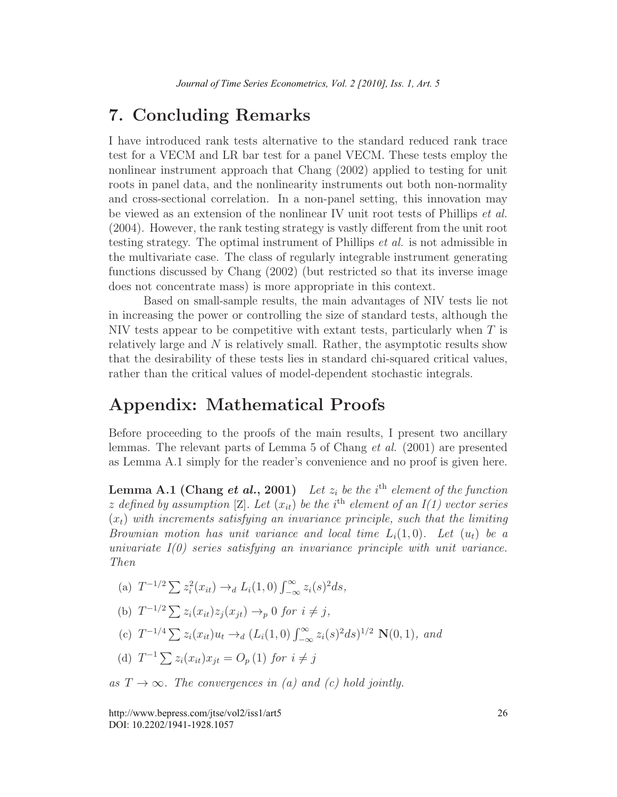# 7. Concluding Remarks

I have introduced rank tests alternative to the standard reduced rank trace test for a VECM and LR bar test for a panel VECM. These tests employ the nonlinear instrument approach that Chang (2002) applied to testing for unit roots in panel data, and the nonlinearity instruments out both non-normality and cross-sectional correlation. In a non-panel setting, this innovation may be viewed as an extension of the nonlinear IV unit root tests of Phillips et al. (2004). However, the rank testing strategy is vastly different from the unit root testing strategy. The optimal instrument of Phillips et al. is not admissible in the multivariate case. The class of regularly integrable instrument generating functions discussed by Chang (2002) (but restricted so that its inverse image does not concentrate mass) is more appropriate in this context.

Based on small-sample results, the main advantages of NIV tests lie not in increasing the power or controlling the size of standard tests, although the NIV tests appear to be competitive with extant tests, particularly when  $T$  is relatively large and  $N$  is relatively small. Rather, the asymptotic results show that the desirability of these tests lies in standard chi-squared critical values, rather than the critical values of model-dependent stochastic integrals.

# Appendix: Mathematical Proofs

Before proceeding to the proofs of the main results, I present two ancillary lemmas. The relevant parts of Lemma 5 of Chang et al. (2001) are presented as Lemma A.1 simply for the reader's convenience and no proof is given here.

**Lemma A.1 (Chang et al., 2001)** Let  $z_i$  be the i<sup>th</sup> element of the function z defined by assumption [Z]. Let  $(x_{it})$  be the i<sup>th</sup> element of an  $I(1)$  vector series  $(x_t)$  with increments satisfying an invariance principle, such that the limiting Brownian motion has unit variance and local time  $L_i(1,0)$ . Let  $(u_t)$  be a univariate  $I(0)$  series satisfying an invariance principle with unit variance. Then

- (a)  $T^{-1/2} \sum z_i^2(x_{it}) \rightarrow_d L_i(1,0) \int_{-\infty}^{\infty} z_i(s)^2 ds,$
- (b)  $T^{-1/2} \sum z_i(x_{it}) z_j(x_{jt}) \rightarrow_p 0$  for  $i \neq j$ ,
- (c)  $T^{-1/4} \sum z_i(x_{it}) u_t \rightarrow_d (L_i(1,0)) \int_{-\infty}^{\infty} z_i(s)^2 ds)^{1/2} \mathbf{N}(0,1)$ , and
- (d)  $T^{-1} \sum z_i(x_{it}) x_{jt} = O_p(1)$  for  $i \neq j$

as  $T \to \infty$ . The convergences in (a) and (c) hold jointly.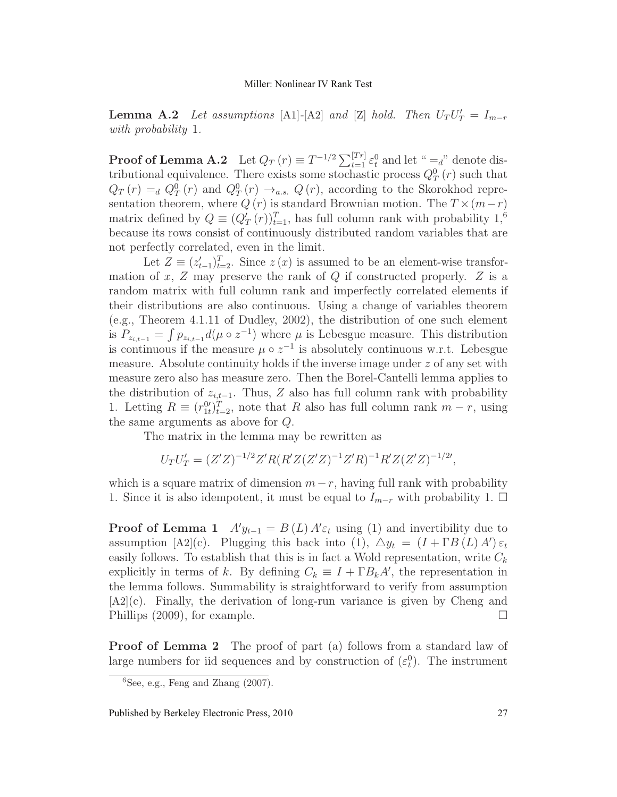**Lemma A.2** Let assumptions [A1]-[A2] and [Z] hold. Then  $U_T U'_T = I_{m-r}$ with probability 1.

**Proof of Lemma A.2** Let  $Q_T(r) \equiv T^{-1/2} \sum_{t=1}^{[Tr]} \varepsilon_t^0$  and let " $=$ a" denote distributional equivalence. There exists some stochastic process  $Q_T^0(r)$  such that  $Q_T(r) =_d Q_T^0(r)$  and  $Q_T^0(r) \rightarrow_{a.s.} Q(r)$ , according to the Skorokhod representation theorem, where  $Q(r)$  is standard Brownian motion. The  $T \times (m-r)$ matrix defined by  $Q \equiv (Q_T'(r))_{t=1}^T$ , has full column rank with probability  $1,^6$ because its rows consist of continuously distributed random variables that are not perfectly correlated, even in the limit.

Let  $Z \equiv (z_{t-1}')_{t=2}^T$ . Since  $z(x)$  is assumed to be an element-wise transformation of  $x$ ,  $Z$  may preserve the rank of  $Q$  if constructed properly.  $Z$  is a random matrix with full column rank and imperfectly correlated elements if their distributions are also continuous. Using a change of variables theorem (e.g., Theorem 4.1.11 of Dudley, 2002), the distribution of one such element is  $P_{z_{i,t-1}} = \int p_{z_{i,t-1}} d(\mu \circ z^{-1})$  where  $\mu$  is Lebesgue measure. This distribution is continuous if the measure  $\mu \circ z^{-1}$  is absolutely continuous w.r.t. Lebesgue measure. Absolute continuity holds if the inverse image under z of any set with measure zero also has measure zero. Then the Borel-Cantelli lemma applies to the distribution of  $z_{i,t-1}$ . Thus, Z also has full column rank with probability 1. Letting  $R \equiv (r_{1t}^{0t})_{t=2}^T$ , note that R also has full column rank  $m-r$ , using the same arguments as above for Q.

The matrix in the lemma may be rewritten as

$$
U_T U'_T = (Z'Z)^{-1/2} Z' R (R'Z(Z'Z)^{-1}Z'R)^{-1} R' Z (Z'Z)^{-1/2'},
$$

which is a square matrix of dimension  $m-r$ , having full rank with probability 1. Since it is also idempotent, it must be equal to  $I_{m-r}$  with probability 1. □

**Proof of Lemma 1**  $A'y_{t-1} = B(L) A' \varepsilon_t$  using (1) and invertibility due to assumption [A2](c). Plugging this back into (1),  $\Delta y_t = (I + \Gamma B(L) A') \varepsilon_t$ easily follows. To establish that this is in fact a Wold representation, write  $C_k$ explicitly in terms of k. By defining  $C_k \equiv I + \Gamma B_k A'$ , the representation in the lemma follows. Summability is straightforward to verify from assumption  $[A2](c)$ . Finally, the derivation of long-run variance is given by Cheng and Phillips  $(2009)$ , for example.

**Proof of Lemma 2** The proof of part (a) follows from a standard law of large numbers for iid sequences and by construction of  $(\varepsilon_t^0)$ . The instrument

 ${}^{6}$ See, e.g., Feng and Zhang  $(2007)$ .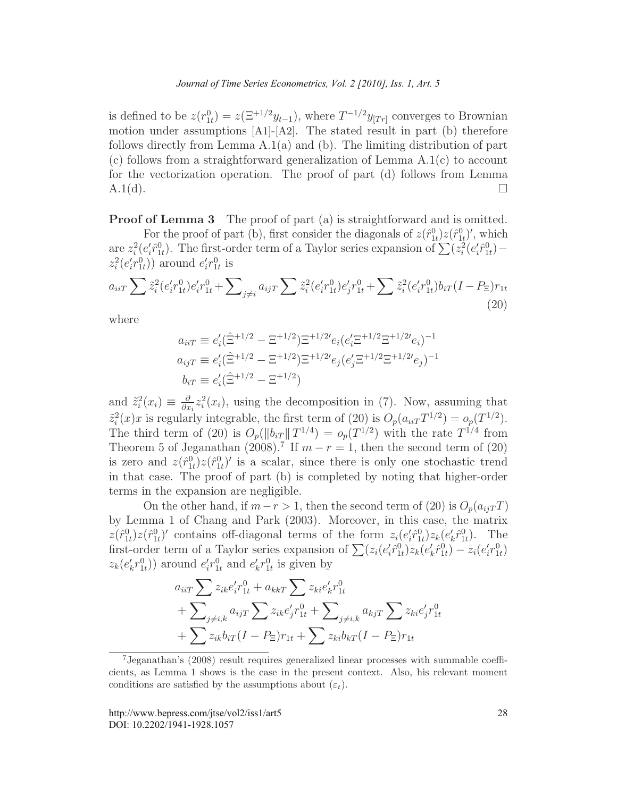is defined to be  $z(r_{1t}^0) = z(\Xi^{+1/2}y_{t-1})$ , where  $T^{-1/2}y_{[Tr]}$  converges to Brownian motion under assumptions [A1]-[A2]. The stated result in part (b) therefore follows directly from Lemma A.1(a) and (b). The limiting distribution of part  $(c)$  follows from a straightforward generalization of Lemma  $A.1(c)$  to account for the vectorization operation. The proof of part (d) follows from Lemma  $A.1(d).$ 

**Proof of Lemma 3** The proof of part (a) is straightforward and is omitted.

For the proof of part (b), first consider the diagonals of  $z(\hat{r}_{1t}^0)z(\hat{r}_{1t}^0)'$ , which are  $z_i^2(e'_i \hat{r}_{1t}^0)$ . The first-order term of a Taylor series expansion of  $\sum (z_i^2(e'_i \hat{r}_{1t}^0)$  $z_i^2(e'_i r_{1t}^0)$  around  $e'_i r_{1t}^0$  is

$$
a_{iiT} \sum \tilde{z}_i^2 (e'_i r_{1t}^0) e'_i r_{1t}^0 + \sum\nolimits_{j \neq i} a_{ijT} \sum \tilde{z}_i^2 (e'_i r_{1t}^0) e'_j r_{1t}^0 + \sum \tilde{z}_i^2 (e'_i r_{1t}^0) b_{iT} (I - P_{\Xi}) r_{1t}
$$
\n
$$
\tag{20}
$$

where

$$
a_{iiT} \equiv e'_i(\hat{\Xi}^{+1/2} - \Xi^{+1/2})\Xi^{+1/2}e_i(e'_i\Xi^{+1/2}\Xi^{+1/2}e_i)^{-1}
$$
  
\n
$$
a_{ijT} \equiv e'_i(\hat{\Xi}^{+1/2} - \Xi^{+1/2})\Xi^{+1/2}e_j(e'_j\Xi^{+1/2}\Xi^{+1/2}e_j)^{-1}
$$
  
\n
$$
b_{iT} \equiv e'_i(\hat{\Xi}^{+1/2} - \Xi^{+1/2})
$$

and  $\tilde{z}_i^2(x_i) \equiv \frac{\partial}{\partial x_i} z_i^2(x_i)$ , using the decomposition in (7). Now, assuming that  $\partial x_i$  $\tilde{z}_i^2(x)x$  is regularly integrable, the first term of (20) is  $O_p(a_{iiT}T^{1/2}) = o_p(T^{1/2})$ . The third term of (20) is  $O_p(||b_{iT}||T^{1/4}) = o_p(T^{1/2})$  with the rate  $T^{1/4}$  from Theorem 5 of Jeganathan (2008).<sup>7</sup> If  $m - r = 1$ , then the second term of (20) is zero and  $z(\hat{r}_{1t}^0)z(\hat{r}_{1t}^0)'$  is a scalar, since there is only one stochastic trend in that case. The proof of part (b) is completed by noting that higher-order terms in the expansion are negligible.

On the other hand, if  $m-r>1$ , then the second term of (20) is  $O_p(a_{ij}T)$ by Lemma 1 of Chang and Park (2003). Moreover, in this case, the matrix  $z(\hat{r}_{1t}^0)z(\hat{r}_{1t}^0)'$  contains off-diagonal terms of the form  $z_i(e_i'\hat{r}_{1t}^0)z_k(e_k'\hat{r}_{1t}^0)$ . The first-order term of a Taylor series expansion of  $\sum (z_i (e'_i \hat{r}_{1t}^0) z_k (e'_k \hat{r}_{1t}^0) - z_i (e'_i r_{1t}^0)$  $z_k(e'_k r_{1t}^0)$  around  $e'_i r_{1t}^0$  and  $e'_k r_{1t}^0$  is given by

$$
a_{iiT} \sum z_{ik} e'_i r_{1t}^0 + a_{kkT} \sum z_{ki} e'_k r_{1t}^0
$$
  
+ 
$$
\sum_{j \neq i,k} a_{ijT} \sum z_{ik} e'_j r_{1t}^0 + \sum_{j \neq i,k} a_{kjT} \sum z_{ki} e'_j r_{1t}^0
$$
  
+ 
$$
\sum z_{ik} b_{iT} (I - P_{\Xi}) r_{1t} + \sum z_{ki} b_{kT} (I - P_{\Xi}) r_{1t}
$$

<sup>7</sup>Jeganathan's (2008) result requires generalized linear processes with summable coefficients, as Lemma 1 shows is the case in the present context. Also, his relevant moment conditions are satisfied by the assumptions about  $(\varepsilon_t)$ .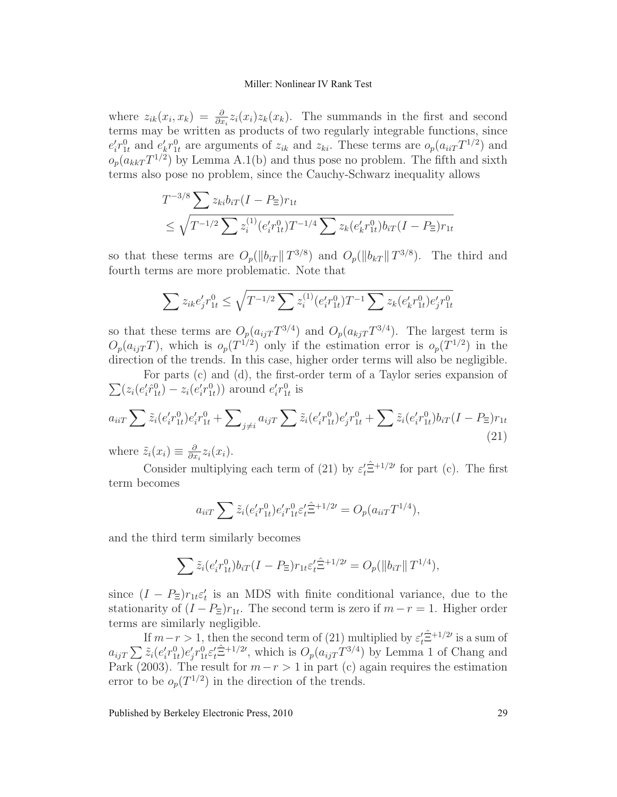where  $z_{ik}(x_i, x_k) = \frac{\partial}{\partial x_i} z_i(x_i) z_k(x_k)$ . The summands in the first and second terms may be written as products of two regularly integrable functions, since  $e'_i r_{1t}^0$  and  $e'_k r_{1t}^0$  are arguments of  $z_{ik}$  and  $z_{ki}$ . These terms are  $o_p(a_{iiT}T^{1/2})$  and  $o_p(a_{kkT}T^{1/2})$  by Lemma A.1(b) and thus pose no problem. The fifth and sixth terms also pose no problem, since the Cauchy-Schwarz inequality allows

$$
T^{-3/8} \sum z_{ki} b_{iT} (I - P_{\Xi}) r_{1t}
$$
  
 
$$
\leq \sqrt{T^{-1/2} \sum z_i^{(1)} (e'_i r_{1t}^0) T^{-1/4} \sum z_k (e'_k r_{1t}^0) b_{iT} (I - P_{\Xi}) r_{1t}}
$$

so that these terms are  $O_p(||b_{iT}||T^{3/8})$  and  $O_p(||b_{kT}||T^{3/8})$ . The third and fourth terms are more problematic. Note that

$$
\sum z_{ik} e'_j r_{1t}^0 \le \sqrt{T^{-1/2} \sum z_i^{(1)} (e'_i r_{1t}^0) T^{-1} \sum z_k (e'_k r_{1t}^0) e'_j r_{1t}^0}
$$

so that these terms are  $O_p(a_{ij}T^{3/4})$  and  $O_p(a_{kj}T^{3/4})$ . The largest term is  $O_p(a_{ijT}T)$ , which is  $o_p(T^{1/2})$  only if the estimation error is  $o_p(T^{1/2})$  in the direction of the trends. In this case, higher order terms will also be negligible.

 $\sum (z_i (e'_i \hat{r}_{1t}^0) - z_i (e'_i r_{1t}^0))$  around  $e'_i r_{1t}^0$  is For parts (c) and (d), the first-order term of a Taylor series expansion of

$$
a_{iiT} \sum \tilde{z}_i (e'_i r_{1t}^0) e'_i r_{1t}^0 + \sum_{j \neq i} a_{ijT} \sum \tilde{z}_i (e'_i r_{1t}^0) e'_j r_{1t}^0 + \sum \tilde{z}_i (e'_i r_{1t}^0) b_{iT} (I - P_{\Xi}) r_{1t}
$$
\n(21)

where  $\tilde{z}_i(x_i) \equiv \frac{\partial}{\partial x_i}$  $\frac{\partial}{\partial x_i} z_i(x_i)$ .

Consider multiplying each term of (21) by  $\varepsilon'_{t} \hat{\Xi}^{+1/2}$  for part (c). The first term becomes

$$
a_{iiT} \sum \tilde{z}_i (e'_i r_{1t}^0) e'_i r_{1t}^0 \varepsilon'_t \hat{\Xi}^{+1/2} = O_p(a_{iiT} T^{1/4}),
$$

and the third term similarly becomes

$$
\sum \tilde{z}_i (e'_i r_{1t}^0) b_{iT} (I - P_{\Xi}) r_{1t} \varepsilon'_t \hat{\Xi}^{+1/2} = O_p(||b_{iT}|| T^{1/4}),
$$

since  $(I - P_{\Xi})r_{1t}\epsilon'_{t}$  is an MDS with finite conditional variance, due to the stationarity of  $(I - P_{\Xi})r_{1t}$ . The second term is zero if  $m - r = 1$ . Higher order terms are similarly negligible.

If  $m-r > 1$ , then the second term of (21) multiplied by  $\varepsilon'_{t} \hat{\Xi}^{+1/2}$  is a sum of  $a_{ijT} \sum \tilde{z}_i (e'_i r_{1t}^0) e'_j r_{1t}^0 \tilde{\epsilon}_t^{\prime} \tilde{\Xi}^{+1/2'},$  which is  $O_p(a_{ijT} T^{3/4})$  by Lemma 1 of Chang and Park (2003). The result for  $m-r > 1$  in part (c) again requires the estimation error to be  $o_p(T^{1/2})$  in the direction of the trends.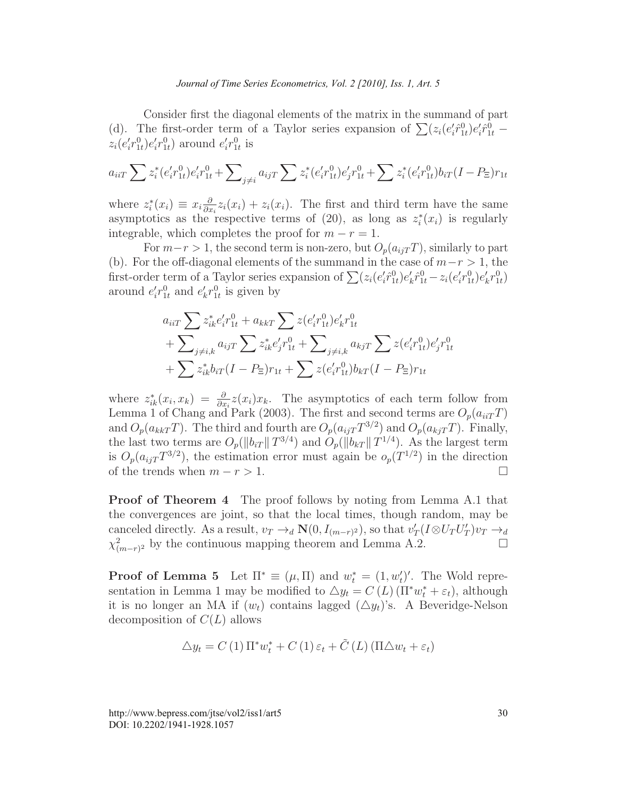#### *Journal of Time Series Econometrics, Vol. 2 [2010], Iss. 1, Art. 5*

Consider first the diagonal elements of the matrix in the summand of part (d). The first-order term of a Taylor series expansion of  $\sum (z_i (e'_i \hat{r}_{1t}^0) e'_i \hat{r}_{1t}^0$  $z_i(e'_i r_{1t}^0)e'_i r_{1t}^0$  around  $e'_i r_{1t}^0$  is

$$
a_{iiT} \sum z_i^*(e_i' r_{1t}^0) e_i' r_{1t}^0 + \sum\nolimits_{j \neq i} a_{ijT} \sum z_i^*(e_i' r_{1t}^0) e_j' r_{1t}^0 + \sum z_i^*(e_i' r_{1t}^0) b_{iT} (I - P_{\Xi}) r_{1t}
$$

where  $z_i^*(x_i) \equiv x_i \frac{\partial}{\partial x_i}$  $\frac{\partial}{\partial x_i}z_i(x_i) + z_i(x_i)$ . The first and third term have the same asymptotics as the respective terms of (20), as long as  $z_i^*(x_i)$  is regularly integrable, which completes the proof for  $m - r = 1$ .

For  $m-r > 1$ , the second term is non-zero, but  $O_p(a_{ijT}T)$ , similarly to part (b). For the off-diagonal elements of the summand in the case of  $m-r > 1$ , the first-order term of a Taylor series expansion of  $\sum (z_i (e'_i \hat{r}_{1t}^0) e'_k \hat{r}_{1t}^0 - z_i (e'_i r_{1t}^0) e'_k r_{1t}^0)$ around  $e'_i r_{1t}^0$  and  $e'_k r_{1t}^0$  is given by

$$
a_{iiT} \sum z_{ik}^* e_i' r_{1t}^0 + a_{kkT} \sum z(e_i' r_{1t}^0) e_k' r_{1t}^0
$$
  
+ 
$$
\sum_{j \neq i,k} a_{ijT} \sum z_{ik}^* e_j' r_{1t}^0 + \sum_{j \neq i,k} a_{kjT} \sum z(e_i' r_{1t}^0) e_j' r_{1t}^0
$$
  
+ 
$$
\sum z_{ik}^* b_{iT} (I - P_{\Xi}) r_{1t} + \sum z(e_i' r_{1t}^0) b_{kT} (I - P_{\Xi}) r_{1t}
$$

where  $z_{ik}^*(x_i, x_k) = \frac{\partial}{\partial x_i} z(x_i) x_k$ . The asymptotics of each term follow from Lemma 1 of Chang and Park (2003). The first and second terms are  $O_p(a_{iiT}T)$ and  $O_p(a_{kkT}T)$ . The third and fourth are  $O_p(a_{ijT}T^{3/2})$  and  $O_p(a_{kjT}T)$ . Finally, the last two terms are  $O_p(||b_{iT}||T^{3/4})$  and  $O_p(||b_{kT}||T^{1/4})$ . As the largest term is  $O_p(a_{ij}T^{3/2})$ , the estimation error must again be  $o_p(T^{1/2})$  in the direction of the trends when  $m - r > 1$ .

**Proof of Theorem 4** The proof follows by noting from Lemma A.1 that the convergences are joint, so that the local times, though random, may be canceled directly. As a result,  $v_T \to d \mathbf{N}(0, I_{(m-r)^2})$ , so that  $v'_T(I \otimes U_T U'_T)v_T \to d \mathbf{N}(0, I_{(m-r)^2})$  $\chi^2_\ell$  $^{2}_{(m-r)^2}$  by the continuous mapping theorem and Lemma A.2. □

**Proof of Lemma 5** Let  $\Pi^* \equiv (\mu, \Pi)$  and  $w_t^* = (1, w_t')'$ . The Wold representation in Lemma 1 may be modified to  $\Delta y_t = C(L) (\Pi^* w_t^* + \varepsilon_t)$ , although it is no longer an MA if  $(w_t)$  contains lagged  $(\Delta y_t)$ 's. A Beveridge-Nelson decomposition of  $C(L)$  allows

$$
\triangle y_t = C(1) \Pi^* w_t^* + C(1) \varepsilon_t + \tilde{C}(L) (\Pi \triangle w_t + \varepsilon_t)
$$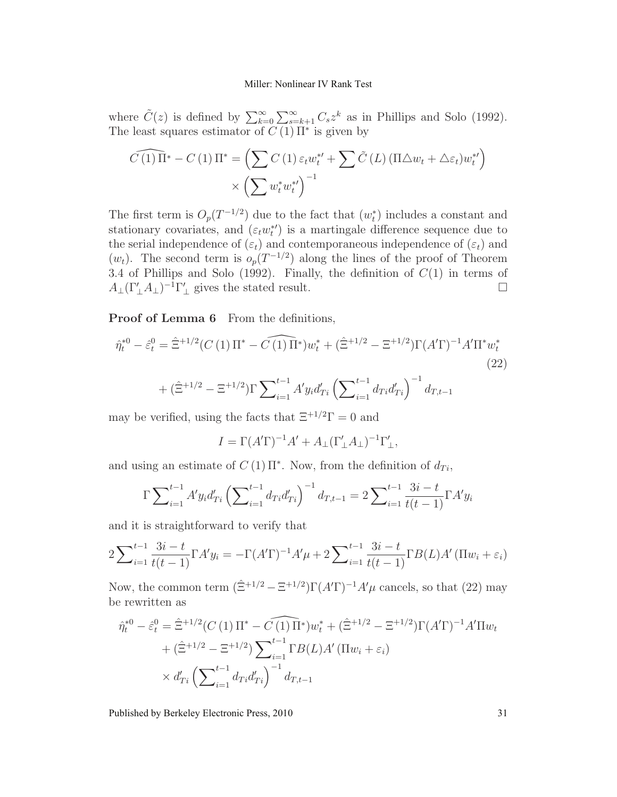where  $\tilde{C}(z)$  is defined by  $\sum_{k=0}^{\infty}\sum_{s=k+1}^{\infty}C_s z^k$  as in Phillips and Solo (1992). The least squares estimator of  $C(1)$   $\Pi^*$  is given by

$$
\widehat{C(1) \Pi^*} - C(1) \Pi^* = \left( \sum C(1) \varepsilon_t w_t^{*t} + \sum \tilde{C}(L) (\Pi \triangle w_t + \triangle \varepsilon_t) w_t^{*t} \right) \times \left( \sum w_t^* w_t^{*t} \right)^{-1}
$$

The first term is  $O_p(T^{-1/2})$  due to the fact that  $(w_t^*)$  includes a constant and stationary covariates, and  $(\varepsilon_t w_t^*)$  is a martingale difference sequence due to the serial independence of  $(\varepsilon_t)$  and contemporaneous independence of  $(\varepsilon_t)$  and  $(w_t)$ . The second term is  $o_p(T^{-1/2})$  along the lines of the proof of Theorem 3.4 of Phillips and Solo (1992). Finally, the definition of  $C(1)$  in terms of  $A_{\perp}(\Gamma'_{\perp}A_{\perp})^{-1}\Gamma'_{\perp}$  gives the stated result.

Proof of Lemma 6 From the definitions,

$$
\hat{\eta}_t^{*0} - \hat{\varepsilon}_t^0 = \hat{\Xi}^{+1/2} (C\left(1\right) \Pi^* - \widehat{C\left(1\right)} \Pi^*) w_t^* + (\hat{\Xi}^{+1/2} - \Xi^{+1/2}) \Gamma (A'\Gamma)^{-1} A' \Pi^* w_t^*
$$
\n
$$
+ (\hat{\Xi}^{+1/2} - \Xi^{+1/2}) \Gamma \sum_{i=1}^{t-1} A' y_i d_{Ti}' \left( \sum_{i=1}^{t-1} d_{Ti} d'_{Ti} \right)^{-1} d_{T,t-1}
$$
\n
$$
(22)
$$

may be verified, using the facts that  $\Xi^{+1/2}\Gamma = 0$  and

$$
I = \Gamma(A'\Gamma)^{-1}A' + A_{\perp}(\Gamma'_{\perp}A_{\perp})^{-1}\Gamma'_{\perp},
$$

and using an estimate of  $C(1)\Pi^*$ . Now, from the definition of  $d_{Ti}$ ,

$$
\Gamma \sum_{i=1}^{t-1} A' y_i d'_{Ti} \left( \sum_{i=1}^{t-1} d_{Ti} d'_{Ti} \right)^{-1} d_{T,t-1} = 2 \sum_{i=1}^{t-1} \frac{3i-t}{t(t-1)} \Gamma A' y_i
$$

and it is straightforward to verify that

$$
2\sum_{i=1}^{t-1} \frac{3i-t}{t(t-1)} \Gamma A' y_i = -\Gamma (A'\Gamma)^{-1} A' \mu + 2\sum_{i=1}^{t-1} \frac{3i-t}{t(t-1)} \Gamma B(L) A' (\Pi w_i + \varepsilon_i)
$$

Now, the common term  $(\hat{\Xi}^{+1/2} - \Xi^{+1/2}) \Gamma(A'\Gamma)^{-1} A'\mu$  cancels, so that (22) may be rewritten as

$$
\hat{\eta}_t^{*0} - \hat{\varepsilon}_t^0 = \hat{\Xi}^{+1/2} (C (1) \Pi^* - \widehat{C (1)} \Pi^*) w_t^* + (\hat{\Xi}^{+1/2} - \Xi^{+1/2}) \Gamma (A' \Gamma)^{-1} A' \Pi w_t \n+ (\hat{\Xi}^{+1/2} - \Xi^{+1/2}) \sum_{i=1}^{t-1} \Gamma B(L) A' (\Pi w_i + \varepsilon_i) \n\times d'_{Ti} \left( \sum_{i=1}^{t-1} d_{Ti} d'_{Ti} \right)^{-1} d_{T,t-1}
$$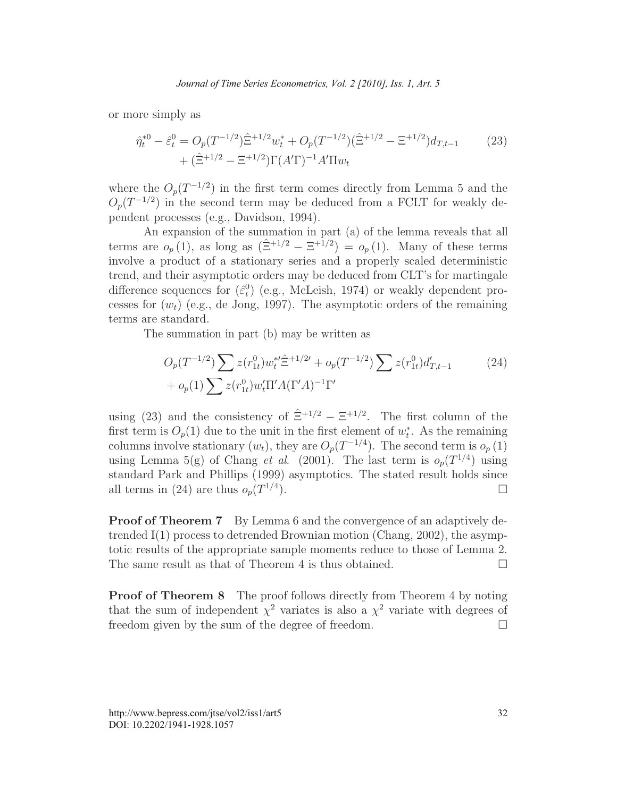or more simply as

$$
\hat{\eta}_t^{*0} - \hat{\varepsilon}_t^0 = O_p(T^{-1/2})\hat{\Xi}^{+1/2}w_t^* + O_p(T^{-1/2})(\hat{\Xi}^{+1/2} - \Xi^{+1/2})d_{T,t-1}
$$
\n
$$
+ (\hat{\Xi}^{+1/2} - \Xi^{+1/2})\Gamma(A'\Gamma)^{-1}A'\Pi w_t
$$
\n(23)

where the  $O_p(T^{-1/2})$  in the first term comes directly from Lemma 5 and the  $O_p(T^{-1/2})$  in the second term may be deduced from a FCLT for weakly dependent processes (e.g., Davidson, 1994).

An expansion of the summation in part (a) of the lemma reveals that all terms are  $o_p(1)$ , as long as  $(\hat{\Xi}^{+1/2} - \Xi^{+1/2}) = o_p(1)$ . Many of these terms involve a product of a stationary series and a properly scaled deterministic trend, and their asymptotic orders may be deduced from CLT's for martingale difference sequences for  $(\hat{\varepsilon}_t^0)$  (e.g., McLeish, 1974) or weakly dependent processes for  $(w_t)$  (e.g., de Jong, 1997). The asymptotic orders of the remaining terms are standard.

The summation in part (b) may be written as

$$
O_p(T^{-1/2}) \sum z(r_{1t}^0) w_t^{* \prime} \hat{\Xi}^{+1/2} + o_p(T^{-1/2}) \sum z(r_{1t}^0) d'_{T,t-1}
$$
\n
$$
+ o_p(1) \sum z(r_{1t}^0) w_t^{\prime} \Pi^{\prime} A (\Gamma^{\prime} A)^{-1} \Gamma^{\prime}
$$
\n(24)

using (23) and the consistency of  $\hat{\Xi}^{+1/2} - \Xi^{+1/2}$ . The first column of the first term is  $O_p(1)$  due to the unit in the first element of  $w_t^*$ . As the remaining columns involve stationary  $(w_t)$ , they are  $O_p(T^{-1/4})$ . The second term is  $o_p(1)$ using Lemma 5(g) of Chang *et al.* (2001). The last term is  $o_p(T^{1/4})$  using standard Park and Phillips (1999) asymptotics. The stated result holds since all terms in (24) are thus  $o_p(T^{1/4})$  $\Box$ 

**Proof of Theorem 7** By Lemma 6 and the convergence of an adaptively detrended I(1) process to detrended Brownian motion (Chang, 2002), the asymptotic results of the appropriate sample moments reduce to those of Lemma 2. The same result as that of Theorem 4 is thus obtained.  $\Box$ 

**Proof of Theorem 8** The proof follows directly from Theorem 4 by noting that the sum of independent  $\chi^2$  variates is also a  $\chi^2$  variate with degrees of freedom given by the sum of the degree of freedom.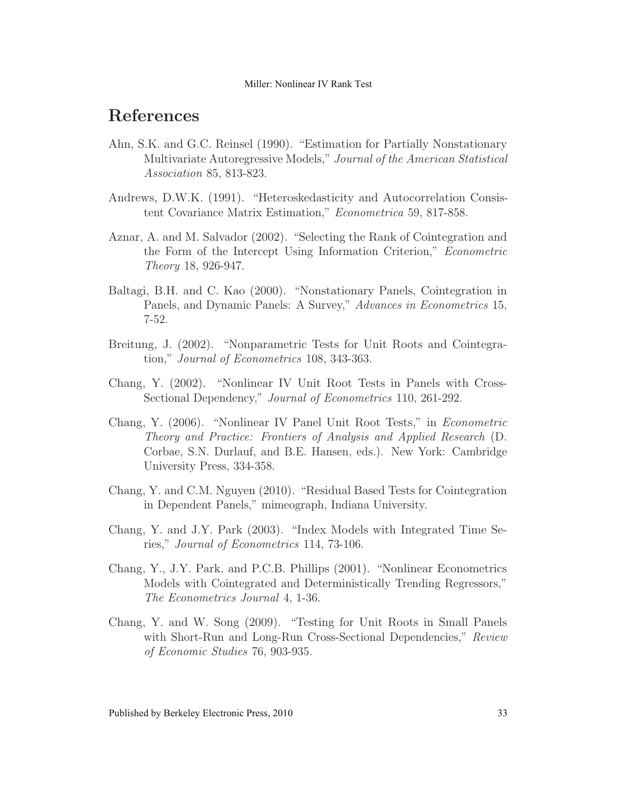# References

- Ahn, S.K. and G.C. Reinsel (1990). "Estimation for Partially Nonstationary Multivariate Autoregressive Models," Journal of the American Statistical Association 85, 813-823.
- Andrews, D.W.K. (1991). "Heteroskedasticity and Autocorrelation Consistent Covariance Matrix Estimation," Econometrica 59, 817-858.
- Aznar, A. and M. Salvador (2002). "Selecting the Rank of Cointegration and the Form of the Intercept Using Information Criterion," Econometric Theory 18, 926-947.
- Baltagi, B.H. and C. Kao (2000). "Nonstationary Panels, Cointegration in Panels, and Dynamic Panels: A Survey," Advances in Econometrics 15, 7-52.
- Breitung, J. (2002). "Nonparametric Tests for Unit Roots and Cointegration," Journal of Econometrics 108, 343-363.
- Chang, Y. (2002). "Nonlinear IV Unit Root Tests in Panels with Cross-Sectional Dependency," Journal of Econometrics 110, 261-292.
- Chang, Y. (2006). "Nonlinear IV Panel Unit Root Tests," in Econometric Theory and Practice: Frontiers of Analysis and Applied Research (D. Corbae, S.N. Durlauf, and B.E. Hansen, eds.). New York: Cambridge University Press, 334-358.
- Chang, Y. and C.M. Nguyen (2010). "Residual Based Tests for Cointegration in Dependent Panels," mimeograph, Indiana University.
- Chang, Y. and J.Y. Park (2003). "Index Models with Integrated Time Series," Journal of Econometrics 114, 73-106.
- Chang, Y., J.Y. Park, and P.C.B. Phillips (2001). "Nonlinear Econometrics Models with Cointegrated and Deterministically Trending Regressors," The Econometrics Journal 4, 1-36.
- Chang, Y. and W. Song (2009). "Testing for Unit Roots in Small Panels with Short-Run and Long-Run Cross-Sectional Dependencies," Review of Economic Studies 76, 903-935.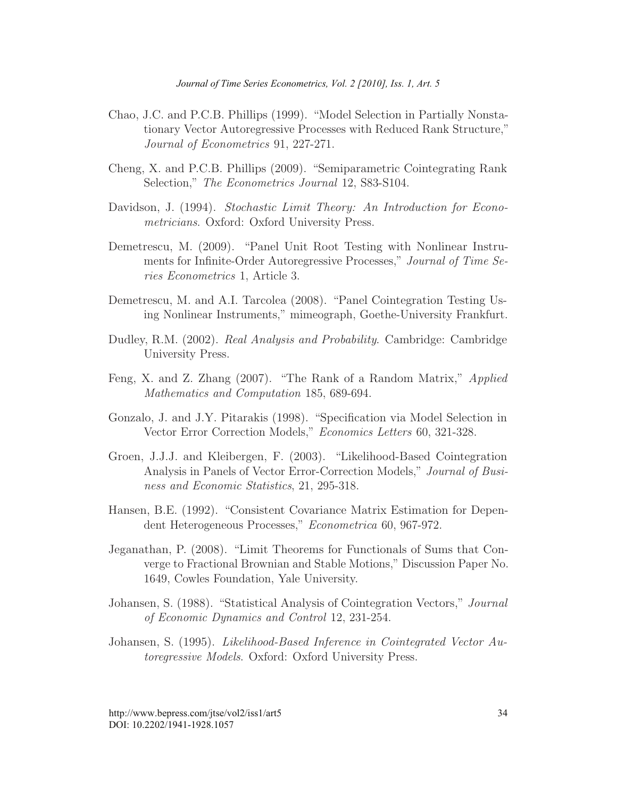- Chao, J.C. and P.C.B. Phillips (1999). "Model Selection in Partially Nonstationary Vector Autoregressive Processes with Reduced Rank Structure," Journal of Econometrics 91, 227-271.
- Cheng, X. and P.C.B. Phillips (2009). "Semiparametric Cointegrating Rank Selection," The Econometrics Journal 12, S83-S104.
- Davidson, J. (1994). Stochastic Limit Theory: An Introduction for Econometricians. Oxford: Oxford University Press.
- Demetrescu, M. (2009). "Panel Unit Root Testing with Nonlinear Instruments for Infinite-Order Autoregressive Processes," Journal of Time Series Econometrics 1, Article 3.
- Demetrescu, M. and A.I. Tarcolea (2008). "Panel Cointegration Testing Using Nonlinear Instruments," mimeograph, Goethe-University Frankfurt.
- Dudley, R.M. (2002). Real Analysis and Probability. Cambridge: Cambridge University Press.
- Feng, X. and Z. Zhang (2007). "The Rank of a Random Matrix," Applied Mathematics and Computation 185, 689-694.
- Gonzalo, J. and J.Y. Pitarakis (1998). "Specification via Model Selection in Vector Error Correction Models," Economics Letters 60, 321-328.
- Groen, J.J.J. and Kleibergen, F. (2003). "Likelihood-Based Cointegration Analysis in Panels of Vector Error-Correction Models," Journal of Business and Economic Statistics, 21, 295-318.
- Hansen, B.E. (1992). "Consistent Covariance Matrix Estimation for Dependent Heterogeneous Processes," Econometrica 60, 967-972.
- Jeganathan, P. (2008). "Limit Theorems for Functionals of Sums that Converge to Fractional Brownian and Stable Motions," Discussion Paper No. 1649, Cowles Foundation, Yale University.
- Johansen, S. (1988). "Statistical Analysis of Cointegration Vectors," Journal of Economic Dynamics and Control 12, 231-254.
- Johansen, S. (1995). Likelihood-Based Inference in Cointegrated Vector Autoregressive Models. Oxford: Oxford University Press.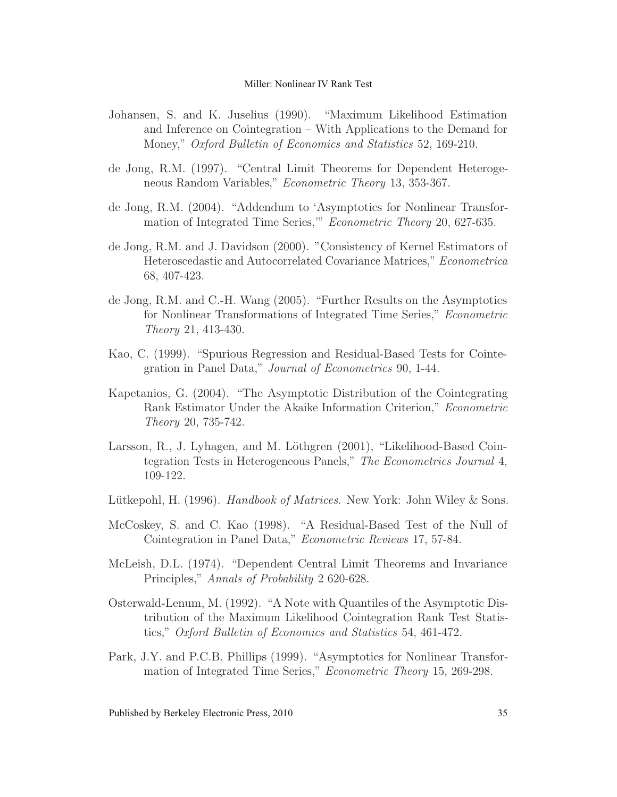- Johansen, S. and K. Juselius (1990). "Maximum Likelihood Estimation and Inference on Cointegration – With Applications to the Demand for Money," Oxford Bulletin of Economics and Statistics 52, 169-210.
- de Jong, R.M. (1997). "Central Limit Theorems for Dependent Heterogeneous Random Variables," Econometric Theory 13, 353-367.
- de Jong, R.M. (2004). "Addendum to 'Asymptotics for Nonlinear Transformation of Integrated Time Series,'" Econometric Theory 20, 627-635.
- de Jong, R.M. and J. Davidson (2000). "Consistency of Kernel Estimators of Heteroscedastic and Autocorrelated Covariance Matrices," Econometrica 68, 407-423.
- de Jong, R.M. and C.-H. Wang (2005). "Further Results on the Asymptotics for Nonlinear Transformations of Integrated Time Series," Econometric Theory 21, 413-430.
- Kao, C. (1999). "Spurious Regression and Residual-Based Tests for Cointegration in Panel Data," Journal of Econometrics 90, 1-44.
- Kapetanios, G. (2004). "The Asymptotic Distribution of the Cointegrating Rank Estimator Under the Akaike Information Criterion," Econometric Theory 20, 735-742.
- Larsson, R., J. Lyhagen, and M. Löthgren (2001), "Likelihood-Based Cointegration Tests in Heterogeneous Panels," The Econometrics Journal 4, 109-122.
- Lütkepohl, H. (1996). Handbook of Matrices. New York: John Wiley & Sons.
- McCoskey, S. and C. Kao (1998). "A Residual-Based Test of the Null of Cointegration in Panel Data," Econometric Reviews 17, 57-84.
- McLeish, D.L. (1974). "Dependent Central Limit Theorems and Invariance Principles," Annals of Probability 2 620-628.
- Osterwald-Lenum, M. (1992). "A Note with Quantiles of the Asymptotic Distribution of the Maximum Likelihood Cointegration Rank Test Statistics," Oxford Bulletin of Economics and Statistics 54, 461-472.
- Park, J.Y. and P.C.B. Phillips (1999). "Asymptotics for Nonlinear Transformation of Integrated Time Series," Econometric Theory 15, 269-298.